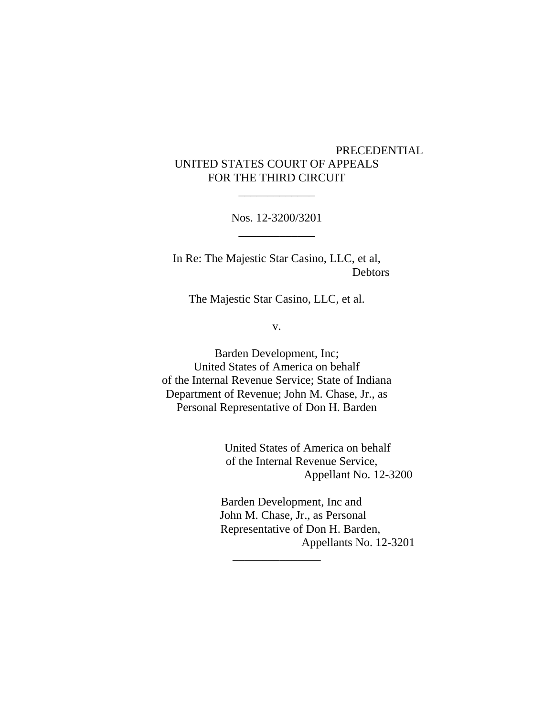## PRECEDENTIAL UNITED STATES COURT OF APPEALS FOR THE THIRD CIRCUIT

Nos. 12-3200/3201 \_\_\_\_\_\_\_\_\_\_\_\_\_

\_\_\_\_\_\_\_\_\_\_\_\_\_

In Re: The Majestic Star Casino, LLC, et al, Debtors

The Majestic Star Casino, LLC, et al.

v.

Barden Development, Inc; United States of America on behalf of the Internal Revenue Service; State of Indiana Department of Revenue; John M. Chase, Jr., as Personal Representative of Don H. Barden

\_\_\_\_\_\_\_\_\_\_\_\_\_\_\_

 United States of America on behalf of the Internal Revenue Service, Appellant No. 12-3200

 Barden Development, Inc and John M. Chase, Jr., as Personal Representative of Don H. Barden, Appellants No. 12-3201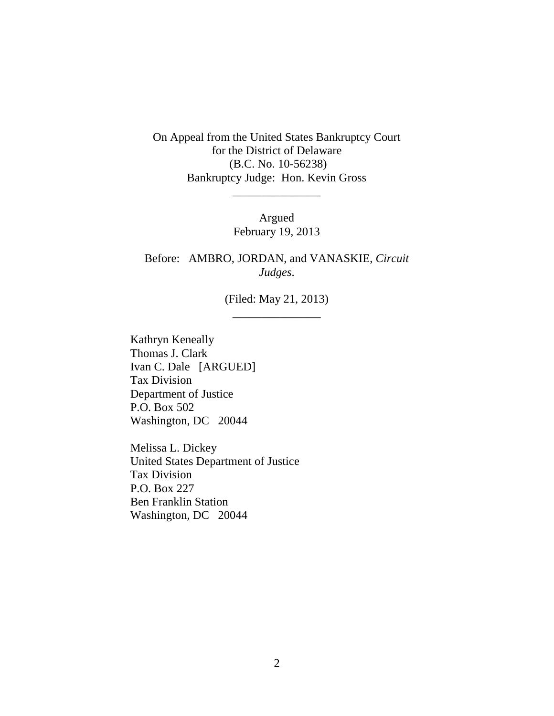On Appeal from the United States Bankruptcy Court for the District of Delaware (B.C. No. 10-56238) Bankruptcy Judge: Hon. Kevin Gross

> Argued February 19, 2013

\_\_\_\_\_\_\_\_\_\_\_\_\_\_\_

Before: AMBRO, JORDAN, and VANASKIE, *Circuit Judges*.

> (Filed: May 21, 2013) \_\_\_\_\_\_\_\_\_\_\_\_\_\_\_

Kathryn Keneally Thomas J. Clark Ivan C. Dale [ARGUED] Tax Division Department of Justice P.O. Box 502 Washington, DC 20044

Melissa L. Dickey United States Department of Justice Tax Division P.O. Box 227 Ben Franklin Station Washington, DC 20044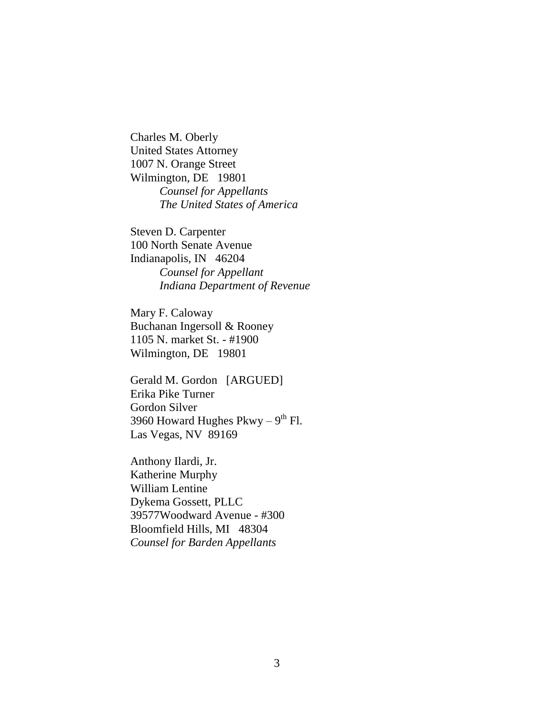Charles M. Oberly United States Attorney 1007 N. Orange Street Wilmington, DE 19801 *Counsel for Appellants The United States of America*

Steven D. Carpenter 100 North Senate Avenue Indianapolis, IN 46204 *Counsel for Appellant Indiana Department of Revenue*

Mary F. Caloway Buchanan Ingersoll & Rooney 1105 N. market St. - #1900 Wilmington, DE 19801

Gerald M. Gordon [ARGUED] Erika Pike Turner Gordon Silver 3960 Howard Hughes Pkwy –  $9^{\text{th}}$  Fl. Las Vegas, NV 89169

Anthony Ilardi, Jr. Katherine Murphy William Lentine Dykema Gossett, PLLC 39577Woodward Avenue - #300 Bloomfield Hills, MI 48304 *Counsel for Barden Appellants*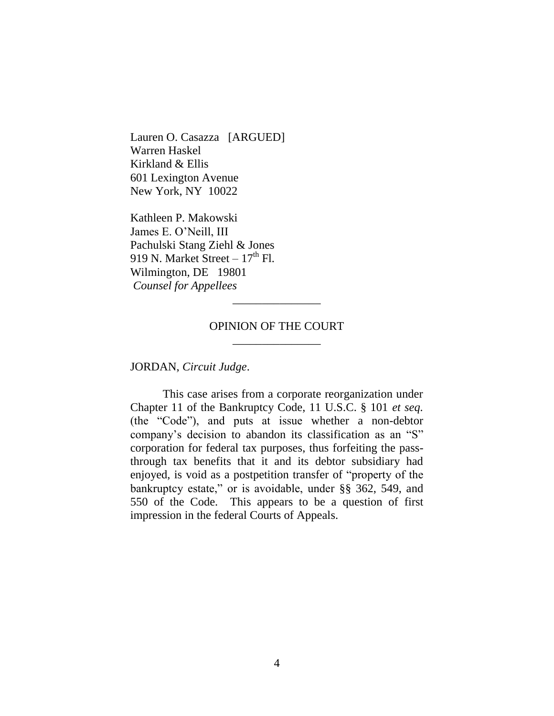Lauren O. Casazza [ARGUED] Warren Haskel Kirkland & Ellis 601 Lexington Avenue New York, NY 10022

Kathleen P. Makowski James E. O"Neill, III Pachulski Stang Ziehl & Jones 919 N. Market Street –  $17<sup>th</sup>$  Fl. Wilmington, DE 19801 *Counsel for Appellees*

### OPINION OF THE COURT \_\_\_\_\_\_\_\_\_\_\_\_\_\_\_

\_\_\_\_\_\_\_\_\_\_\_\_\_\_\_

JORDAN, *Circuit Judge*.

This case arises from a corporate reorganization under Chapter 11 of the Bankruptcy Code, 11 U.S.C. § 101 *et seq.* (the "Code"), and puts at issue whether a non-debtor company"s decision to abandon its classification as an "S" corporation for federal tax purposes, thus forfeiting the passthrough tax benefits that it and its debtor subsidiary had enjoyed, is void as a postpetition transfer of "property of the bankruptcy estate," or is avoidable, under §§ 362, 549, and 550 of the Code. This appears to be a question of first impression in the federal Courts of Appeals.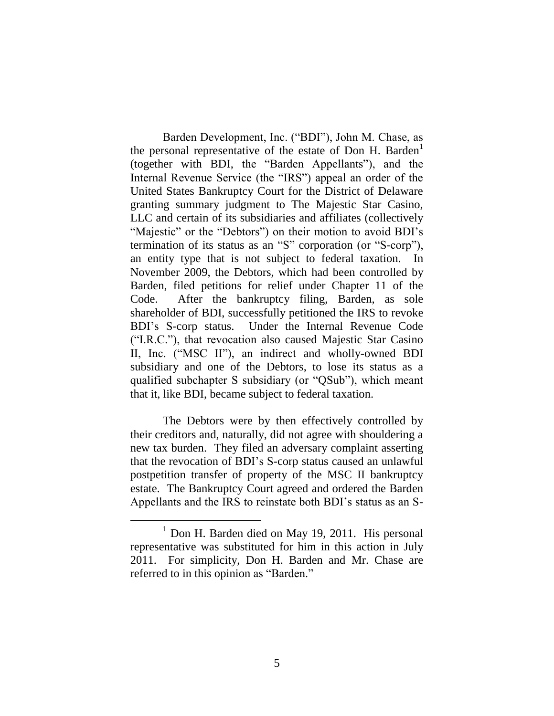Barden Development, Inc. ("BDI"), John M. Chase, as the personal representative of the estate of Don H. Barden<sup>1</sup> (together with BDI, the "Barden Appellants"), and the Internal Revenue Service (the "IRS") appeal an order of the United States Bankruptcy Court for the District of Delaware granting summary judgment to The Majestic Star Casino, LLC and certain of its subsidiaries and affiliates (collectively "Majestic" or the "Debtors") on their motion to avoid BDI's termination of its status as an "S" corporation (or "S-corp"), an entity type that is not subject to federal taxation. In November 2009, the Debtors, which had been controlled by Barden, filed petitions for relief under Chapter 11 of the Code. After the bankruptcy filing, Barden, as sole shareholder of BDI, successfully petitioned the IRS to revoke BDI"s S-corp status. Under the Internal Revenue Code ("I.R.C."), that revocation also caused Majestic Star Casino II, Inc. ("MSC II"), an indirect and wholly-owned BDI subsidiary and one of the Debtors, to lose its status as a qualified subchapter S subsidiary (or "QSub"), which meant that it, like BDI, became subject to federal taxation.

The Debtors were by then effectively controlled by their creditors and, naturally, did not agree with shouldering a new tax burden. They filed an adversary complaint asserting that the revocation of BDI"s S-corp status caused an unlawful postpetition transfer of property of the MSC II bankruptcy estate. The Bankruptcy Court agreed and ordered the Barden Appellants and the IRS to reinstate both BDI"s status as an S-

 $<sup>1</sup>$  Don H. Barden died on May 19, 2011. His personal</sup> representative was substituted for him in this action in July 2011. For simplicity, Don H. Barden and Mr. Chase are referred to in this opinion as "Barden."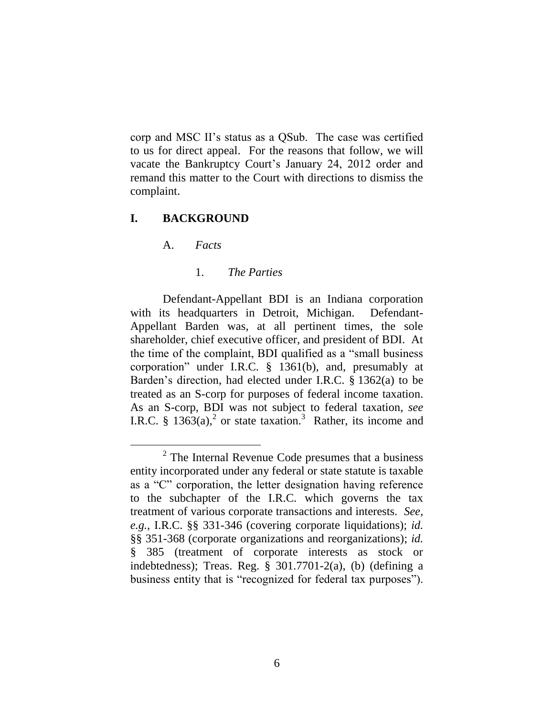corp and MSC II"s status as a QSub. The case was certified to us for direct appeal. For the reasons that follow, we will vacate the Bankruptcy Court"s January 24, 2012 order and remand this matter to the Court with directions to dismiss the complaint.

#### **I. BACKGROUND**

A. *Facts*

 $\overline{a}$ 

#### 1. *The Parties*

Defendant-Appellant BDI is an Indiana corporation with its headquarters in Detroit, Michigan. Defendant-Appellant Barden was, at all pertinent times, the sole shareholder, chief executive officer, and president of BDI. At the time of the complaint, BDI qualified as a "small business corporation" under I.R.C. § 1361(b), and, presumably at Barden"s direction, had elected under I.R.C. § 1362(a) to be treated as an S-corp for purposes of federal income taxation. As an S-corp, BDI was not subject to federal taxation, *see* I.R.C. § 1363(a),<sup>2</sup> or state taxation.<sup>3</sup> Rather, its income and

 $2^2$  The Internal Revenue Code presumes that a business entity incorporated under any federal or state statute is taxable as a "C" corporation, the letter designation having reference to the subchapter of the I.R.C. which governs the tax treatment of various corporate transactions and interests. *See, e.g.*, I.R.C. §§ 331-346 (covering corporate liquidations); *id.* §§ 351-368 (corporate organizations and reorganizations); *id.* § 385 (treatment of corporate interests as stock or indebtedness); Treas. Reg. § 301.7701-2(a), (b) (defining a business entity that is "recognized for federal tax purposes").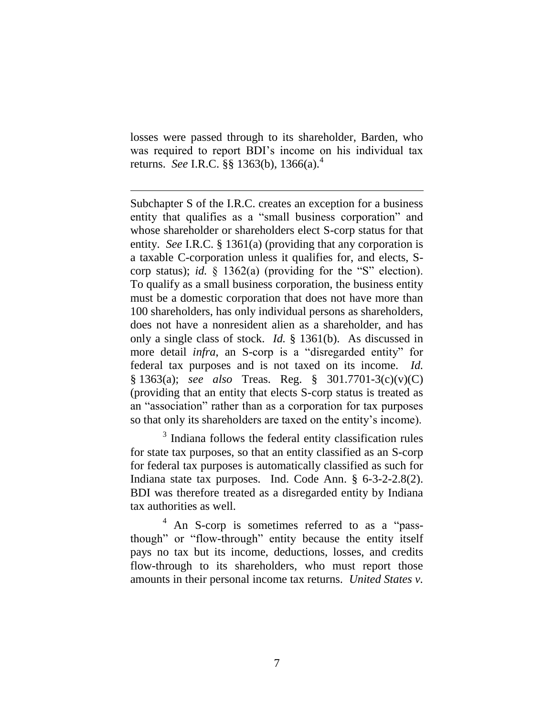losses were passed through to its shareholder, Barden, who was required to report BDI"s income on his individual tax returns. *See* I.R.C. §§ 1363(b), 1366(a).<sup>4</sup>

 $\overline{a}$ 

Subchapter S of the I.R.C. creates an exception for a business entity that qualifies as a "small business corporation" and whose shareholder or shareholders elect S-corp status for that entity. *See* I.R.C. § 1361(a) (providing that any corporation is a taxable C-corporation unless it qualifies for, and elects, Scorp status); *id.* § 1362(a) (providing for the "S" election). To qualify as a small business corporation, the business entity must be a domestic corporation that does not have more than 100 shareholders, has only individual persons as shareholders, does not have a nonresident alien as a shareholder, and has only a single class of stock. *Id.* § 1361(b). As discussed in more detail *infra*, an S-corp is a "disregarded entity" for federal tax purposes and is not taxed on its income. *Id.*  § 1363(a); *see also* Treas. Reg. § 301.7701-3(c)(v)(C) (providing that an entity that elects S-corp status is treated as an "association" rather than as a corporation for tax purposes so that only its shareholders are taxed on the entity"s income).

<sup>3</sup> Indiana follows the federal entity classification rules for state tax purposes, so that an entity classified as an S-corp for federal tax purposes is automatically classified as such for Indiana state tax purposes. Ind. Code Ann. § 6-3-2-2.8(2). BDI was therefore treated as a disregarded entity by Indiana tax authorities as well.

<sup>4</sup> An S-corp is sometimes referred to as a "passthough" or "flow-through" entity because the entity itself pays no tax but its income, deductions, losses, and credits flow-through to its shareholders, who must report those amounts in their personal income tax returns. *United States v.*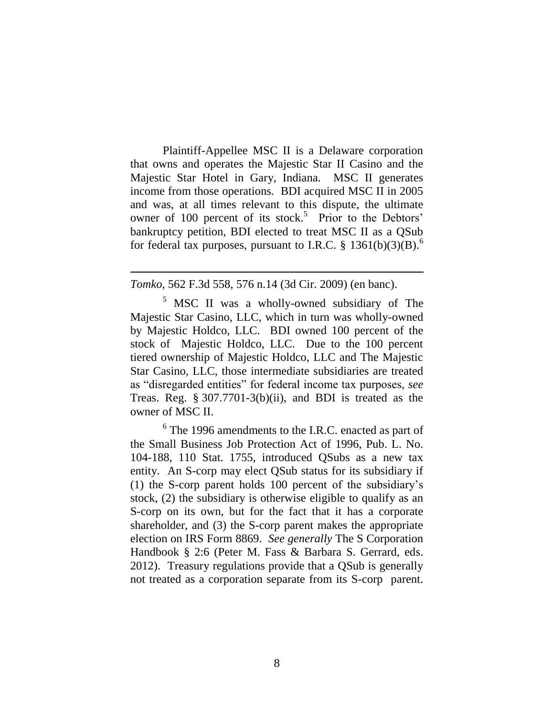Plaintiff-Appellee MSC II is a Delaware corporation that owns and operates the Majestic Star II Casino and the Majestic Star Hotel in Gary, Indiana. MSC II generates income from those operations. BDI acquired MSC II in 2005 and was, at all times relevant to this dispute, the ultimate owner of 100 percent of its stock.<sup>5</sup> Prior to the Debtors' bankruptcy petition, BDI elected to treat MSC II as a QSub for federal tax purposes, pursuant to I.R.C. § 1361(b)(3)(B).<sup>6</sup>

#### *Tomko*, 562 F.3d 558, 576 n.14 (3d Cir. 2009) (en banc).

 $\overline{a}$ 

<sup>5</sup> MSC II was a wholly-owned subsidiary of The Majestic Star Casino, LLC, which in turn was wholly-owned by Majestic Holdco, LLC. BDI owned 100 percent of the stock of Majestic Holdco, LLC. Due to the 100 percent tiered ownership of Majestic Holdco, LLC and The Majestic Star Casino, LLC, those intermediate subsidiaries are treated as "disregarded entities" for federal income tax purposes, *see*  Treas. Reg. § 307.7701-3(b)(ii), and BDI is treated as the owner of MSC II.

 $6$  The 1996 amendments to the I.R.C. enacted as part of the Small Business Job Protection Act of 1996, Pub. L. No. 104-188, 110 Stat. 1755, introduced QSubs as a new tax entity. An S-corp may elect QSub status for its subsidiary if (1) the S-corp parent holds 100 percent of the subsidiary"s stock, (2) the subsidiary is otherwise eligible to qualify as an S-corp on its own, but for the fact that it has a corporate shareholder, and (3) the S-corp parent makes the appropriate election on IRS Form 8869. *See generally* The S Corporation Handbook § 2:6 (Peter M. Fass & Barbara S. Gerrard, eds. 2012). Treasury regulations provide that a QSub is generally not treated as a corporation separate from its S-corp parent.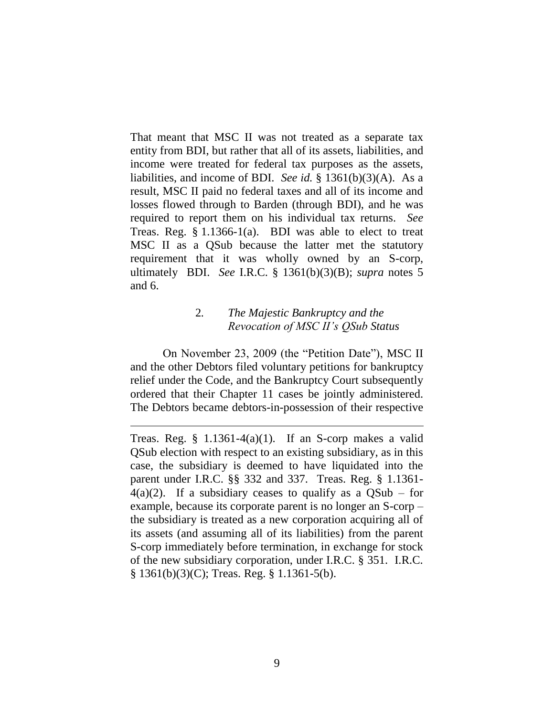That meant that MSC II was not treated as a separate tax entity from BDI, but rather that all of its assets, liabilities, and income were treated for federal tax purposes as the assets, liabilities, and income of BDI. *See id.* § 1361(b)(3)(A). As a result, MSC II paid no federal taxes and all of its income and losses flowed through to Barden (through BDI), and he was required to report them on his individual tax returns. *See* Treas. Reg.  $\S 1.1366-1(a)$ . BDI was able to elect to treat MSC II as a QSub because the latter met the statutory requirement that it was wholly owned by an S-corp, ultimately BDI. *See* I.R.C. § 1361(b)(3)(B); *supra* notes 5 and 6.

# 2*. The Majestic Bankruptcy and the Revocation of MSC II's QSub Status*

On November 23, 2009 (the "Petition Date"), MSC II and the other Debtors filed voluntary petitions for bankruptcy relief under the Code, and the Bankruptcy Court subsequently ordered that their Chapter 11 cases be jointly administered. The Debtors became debtors-in-possession of their respective

Treas. Reg.  $\S$  1.1361-4(a)(1). If an S-corp makes a valid QSub election with respect to an existing subsidiary, as in this case, the subsidiary is deemed to have liquidated into the parent under I.R.C. §§ 332 and 337. Treas. Reg. § 1.1361-  $4(a)(2)$ . If a subsidiary ceases to qualify as a OSub – for example, because its corporate parent is no longer an S-corp – the subsidiary is treated as a new corporation acquiring all of its assets (and assuming all of its liabilities) from the parent S-corp immediately before termination, in exchange for stock of the new subsidiary corporation, under I.R.C. § 351. I.R.C. § 1361(b)(3)(C); Treas. Reg. § 1.1361-5(b).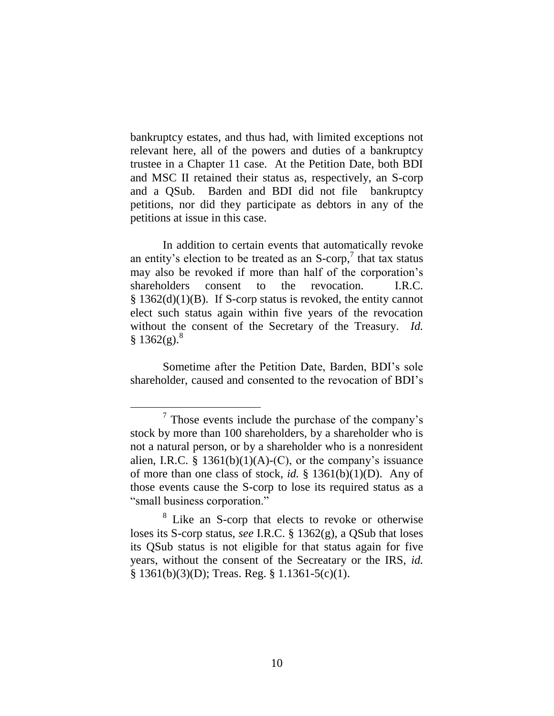bankruptcy estates, and thus had, with limited exceptions not relevant here, all of the powers and duties of a bankruptcy trustee in a Chapter 11 case. At the Petition Date, both BDI and MSC II retained their status as, respectively, an S-corp and a QSub. Barden and BDI did not file bankruptcy petitions, nor did they participate as debtors in any of the petitions at issue in this case.

In addition to certain events that automatically revoke an entity's election to be treated as an  $S\text{-}corp$ , that tax status may also be revoked if more than half of the corporation"s shareholders consent to the revocation. I.R.C. § 1362(d)(1)(B). If S-corp status is revoked, the entity cannot elect such status again within five years of the revocation without the consent of the Secretary of the Treasury. *Id.*  $§ 1362(g).$ <sup>8</sup>

Sometime after the Petition Date, Barden, BDI"s sole shareholder, caused and consented to the revocation of BDI"s

 $7$  Those events include the purchase of the company's stock by more than 100 shareholders, by a shareholder who is not a natural person, or by a shareholder who is a nonresident alien, I.R.C. § 1361(b)(1)(A)-(C), or the company's issuance of more than one class of stock, *id.* § 1361(b)(1)(D). Any of those events cause the S-corp to lose its required status as a "small business corporation."

<sup>8</sup> Like an S-corp that elects to revoke or otherwise loses its S-corp status, *see* I.R.C. § 1362(g), a QSub that loses its QSub status is not eligible for that status again for five years, without the consent of the Secreatary or the IRS, *id.*  $§ 1361(b)(3)(D);$  Treas. Reg. § 1.1361-5(c)(1).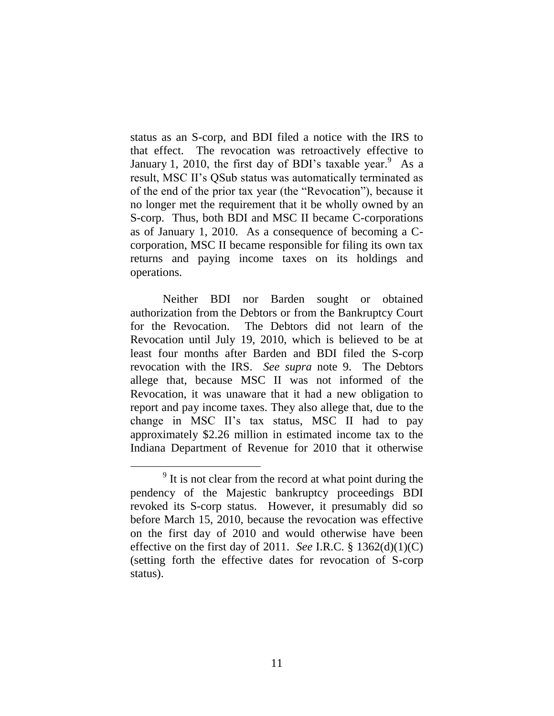status as an S-corp, and BDI filed a notice with the IRS to that effect. The revocation was retroactively effective to January 1, 2010, the first day of BDI's taxable year.<sup>9</sup> As a result, MSC II"s QSub status was automatically terminated as of the end of the prior tax year (the "Revocation"), because it no longer met the requirement that it be wholly owned by an S-corp. Thus, both BDI and MSC II became C-corporations as of January 1, 2010. As a consequence of becoming a Ccorporation, MSC II became responsible for filing its own tax returns and paying income taxes on its holdings and operations.

Neither BDI nor Barden sought or obtained authorization from the Debtors or from the Bankruptcy Court for the Revocation. The Debtors did not learn of the Revocation until July 19, 2010, which is believed to be at least four months after Barden and BDI filed the S-corp revocation with the IRS. *See supra* note 9. The Debtors allege that, because MSC II was not informed of the Revocation, it was unaware that it had a new obligation to report and pay income taxes. They also allege that, due to the change in MSC II"s tax status, MSC II had to pay approximately \$2.26 million in estimated income tax to the Indiana Department of Revenue for 2010 that it otherwise

<sup>&</sup>lt;sup>9</sup> It is not clear from the record at what point during the pendency of the Majestic bankruptcy proceedings BDI revoked its S-corp status. However, it presumably did so before March 15, 2010, because the revocation was effective on the first day of 2010 and would otherwise have been effective on the first day of 2011. *See* I.R.C. § 1362(d)(1)(C) (setting forth the effective dates for revocation of S-corp status).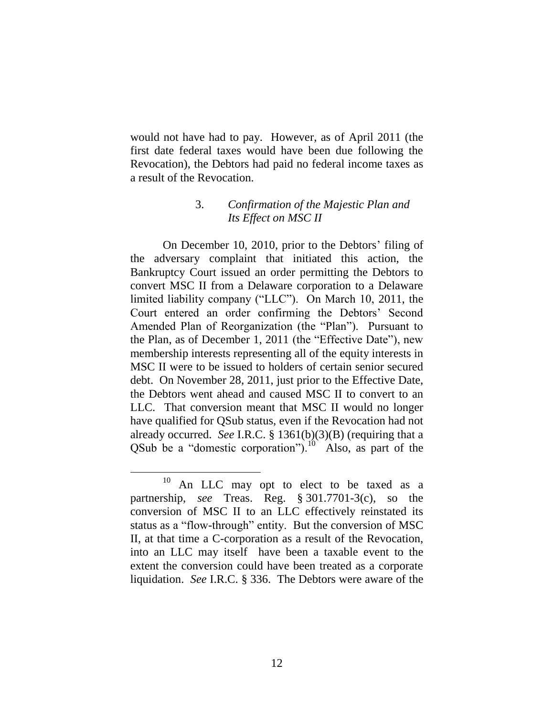would not have had to pay. However, as of April 2011 (the first date federal taxes would have been due following the Revocation), the Debtors had paid no federal income taxes as a result of the Revocation.

## 3. *Confirmation of the Majestic Plan and Its Effect on MSC II*

On December 10, 2010, prior to the Debtors' filing of the adversary complaint that initiated this action, the Bankruptcy Court issued an order permitting the Debtors to convert MSC II from a Delaware corporation to a Delaware limited liability company ("LLC"). On March 10, 2011, the Court entered an order confirming the Debtors" Second Amended Plan of Reorganization (the "Plan"). Pursuant to the Plan, as of December 1, 2011 (the "Effective Date"), new membership interests representing all of the equity interests in MSC II were to be issued to holders of certain senior secured debt. On November 28, 2011, just prior to the Effective Date, the Debtors went ahead and caused MSC II to convert to an LLC. That conversion meant that MSC II would no longer have qualified for QSub status, even if the Revocation had not already occurred. *See* I.R.C. § 1361(b)(3)(B) (requiring that a QSub be a "domestic corporation"). $^{10}$  Also, as part of the

 $10$  An LLC may opt to elect to be taxed as a partnership, *see* Treas. Reg. § 301.7701-3(c), so the conversion of MSC II to an LLC effectively reinstated its status as a "flow-through" entity. But the conversion of MSC II, at that time a C-corporation as a result of the Revocation, into an LLC may itself have been a taxable event to the extent the conversion could have been treated as a corporate liquidation. *See* I.R.C. § 336. The Debtors were aware of the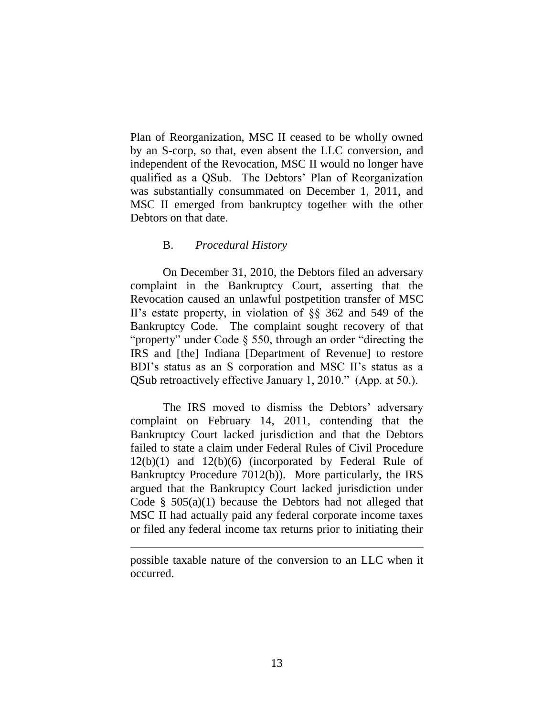Plan of Reorganization, MSC II ceased to be wholly owned by an S-corp, so that, even absent the LLC conversion, and independent of the Revocation, MSC II would no longer have qualified as a QSub. The Debtors" Plan of Reorganization was substantially consummated on December 1, 2011, and MSC II emerged from bankruptcy together with the other Debtors on that date.

### B. *Procedural History*

On December 31, 2010, the Debtors filed an adversary complaint in the Bankruptcy Court, asserting that the Revocation caused an unlawful postpetition transfer of MSC II"s estate property, in violation of §§ 362 and 549 of the Bankruptcy Code. The complaint sought recovery of that "property" under Code § 550, through an order "directing the IRS and [the] Indiana [Department of Revenue] to restore BDI's status as an S corporation and MSC II's status as a QSub retroactively effective January 1, 2010." (App. at 50.).

The IRS moved to dismiss the Debtors' adversary complaint on February 14, 2011, contending that the Bankruptcy Court lacked jurisdiction and that the Debtors failed to state a claim under Federal Rules of Civil Procedure 12(b)(1) and 12(b)(6) (incorporated by Federal Rule of Bankruptcy Procedure 7012(b)). More particularly, the IRS argued that the Bankruptcy Court lacked jurisdiction under Code  $\S$  505(a)(1) because the Debtors had not alleged that MSC II had actually paid any federal corporate income taxes or filed any federal income tax returns prior to initiating their

possible taxable nature of the conversion to an LLC when it occurred.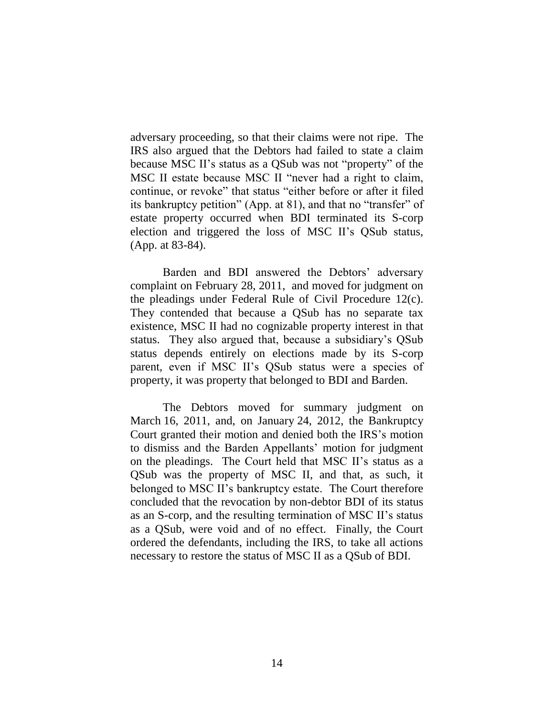adversary proceeding, so that their claims were not ripe. The IRS also argued that the Debtors had failed to state a claim because MSC II"s status as a QSub was not "property" of the MSC II estate because MSC II "never had a right to claim, continue, or revoke" that status "either before or after it filed its bankruptcy petition" (App. at 81), and that no "transfer" of estate property occurred when BDI terminated its S-corp election and triggered the loss of MSC II's QSub status, (App. at 83-84).

Barden and BDI answered the Debtors' adversary complaint on February 28, 2011, and moved for judgment on the pleadings under Federal Rule of Civil Procedure 12(c). They contended that because a QSub has no separate tax existence, MSC II had no cognizable property interest in that status. They also argued that, because a subsidiary"s QSub status depends entirely on elections made by its S-corp parent, even if MSC II's QSub status were a species of property, it was property that belonged to BDI and Barden.

The Debtors moved for summary judgment on March 16, 2011, and, on January 24, 2012, the Bankruptcy Court granted their motion and denied both the IRS"s motion to dismiss and the Barden Appellants' motion for judgment on the pleadings. The Court held that MSC II"s status as a QSub was the property of MSC II, and that, as such, it belonged to MSC II"s bankruptcy estate. The Court therefore concluded that the revocation by non-debtor BDI of its status as an S-corp, and the resulting termination of MSC II"s status as a QSub, were void and of no effect. Finally, the Court ordered the defendants, including the IRS, to take all actions necessary to restore the status of MSC II as a QSub of BDI.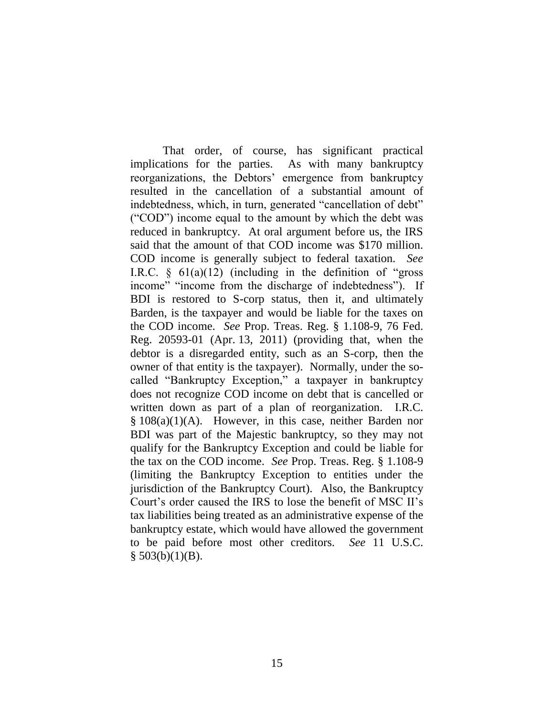That order, of course, has significant practical implications for the parties. As with many bankruptcy reorganizations, the Debtors" emergence from bankruptcy resulted in the cancellation of a substantial amount of indebtedness, which, in turn, generated "cancellation of debt" ("COD") income equal to the amount by which the debt was reduced in bankruptcy. At oral argument before us, the IRS said that the amount of that COD income was \$170 million. COD income is generally subject to federal taxation. *See*  I.R.C.  $\S$  61(a)(12) (including in the definition of "gross" income" "income from the discharge of indebtedness"). If BDI is restored to S-corp status, then it, and ultimately Barden, is the taxpayer and would be liable for the taxes on the COD income. *See* Prop. Treas. Reg. § 1.108-9, 76 Fed. Reg. 20593-01 (Apr. 13, 2011) (providing that, when the debtor is a disregarded entity, such as an S-corp, then the owner of that entity is the taxpayer). Normally, under the socalled "Bankruptcy Exception," a taxpayer in bankruptcy does not recognize COD income on debt that is cancelled or written down as part of a plan of reorganization. I.R.C. § 108(a)(1)(A). However, in this case, neither Barden nor BDI was part of the Majestic bankruptcy, so they may not qualify for the Bankruptcy Exception and could be liable for the tax on the COD income. *See* Prop. Treas. Reg. § 1.108-9 (limiting the Bankruptcy Exception to entities under the jurisdiction of the Bankruptcy Court). Also, the Bankruptcy Court's order caused the IRS to lose the benefit of MSC II's tax liabilities being treated as an administrative expense of the bankruptcy estate, which would have allowed the government to be paid before most other creditors. *See* 11 U.S.C.  $§$  503(b)(1)(B).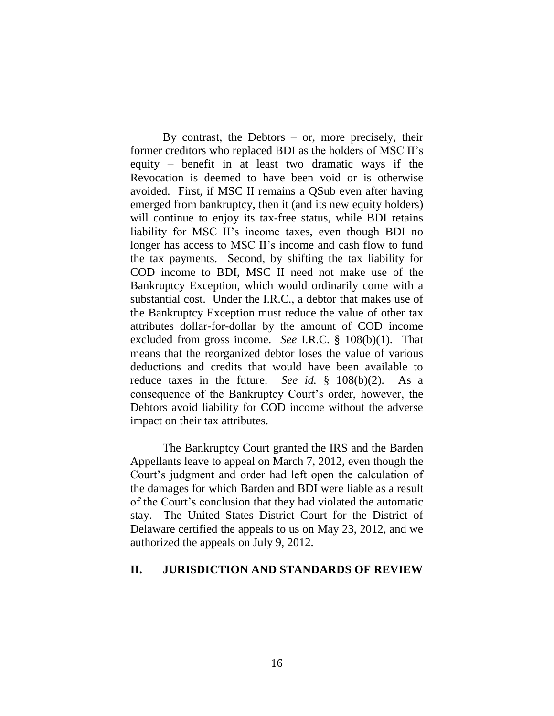By contrast, the Debtors  $-$  or, more precisely, their former creditors who replaced BDI as the holders of MSC II"s equity – benefit in at least two dramatic ways if the Revocation is deemed to have been void or is otherwise avoided. First, if MSC II remains a QSub even after having emerged from bankruptcy, then it (and its new equity holders) will continue to enjoy its tax-free status, while BDI retains liability for MSC II's income taxes, even though BDI no longer has access to MSC II's income and cash flow to fund the tax payments. Second, by shifting the tax liability for COD income to BDI, MSC II need not make use of the Bankruptcy Exception, which would ordinarily come with a substantial cost. Under the I.R.C., a debtor that makes use of the Bankruptcy Exception must reduce the value of other tax attributes dollar-for-dollar by the amount of COD income excluded from gross income. *See* I.R.C. § 108(b)(1). That means that the reorganized debtor loses the value of various deductions and credits that would have been available to reduce taxes in the future. *See id.* § 108(b)(2). As a consequence of the Bankruptcy Court's order, however, the Debtors avoid liability for COD income without the adverse impact on their tax attributes.

The Bankruptcy Court granted the IRS and the Barden Appellants leave to appeal on March 7, 2012, even though the Court"s judgment and order had left open the calculation of the damages for which Barden and BDI were liable as a result of the Court"s conclusion that they had violated the automatic stay.The United States District Court for the District of Delaware certified the appeals to us on May 23, 2012, and we authorized the appeals on July 9, 2012.

#### **II. JURISDICTION AND STANDARDS OF REVIEW**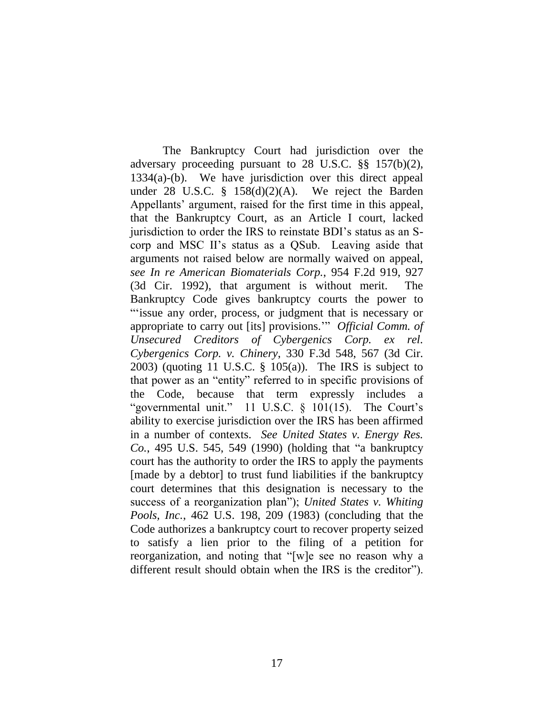The Bankruptcy Court had jurisdiction over the adversary proceeding pursuant to 28 U.S.C. §§ 157(b)(2), 1334(a)-(b). We have jurisdiction over this direct appeal under 28 U.S.C.  $\frac{8}{9}$  158(d)(2)(A). We reject the Barden Appellants' argument, raised for the first time in this appeal, that the Bankruptcy Court, as an Article I court, lacked jurisdiction to order the IRS to reinstate BDI"s status as an Scorp and MSC II"s status as a QSub. Leaving aside that arguments not raised below are normally waived on appeal, *see In re American Biomaterials Corp.*, 954 F.2d 919, 927 (3d Cir. 1992), that argument is without merit. The Bankruptcy Code gives bankruptcy courts the power to ""issue any order, process, or judgment that is necessary or appropriate to carry out [its] provisions."" *Official Comm. of Unsecured Creditors of Cybergenics Corp. ex rel. Cybergenics Corp. v. Chinery*, 330 F.3d 548, 567 (3d Cir. 2003) (quoting 11 U.S.C. § 105(a)). The IRS is subject to that power as an "entity" referred to in specific provisions of the Code, because that term expressly includes a "governmental unit." 11 U.S.C.  $\S$  101(15). The Court's ability to exercise jurisdiction over the IRS has been affirmed in a number of contexts. *See United States v. Energy Res. Co.*, 495 U.S. 545, 549 (1990) (holding that "a bankruptcy court has the authority to order the IRS to apply the payments [made by a debtor] to trust fund liabilities if the bankruptcy court determines that this designation is necessary to the success of a reorganization plan"); *United States v. Whiting Pools, Inc.*, 462 U.S. 198, 209 (1983) (concluding that the Code authorizes a bankruptcy court to recover property seized to satisfy a lien prior to the filing of a petition for reorganization, and noting that "[w]e see no reason why a different result should obtain when the IRS is the creditor").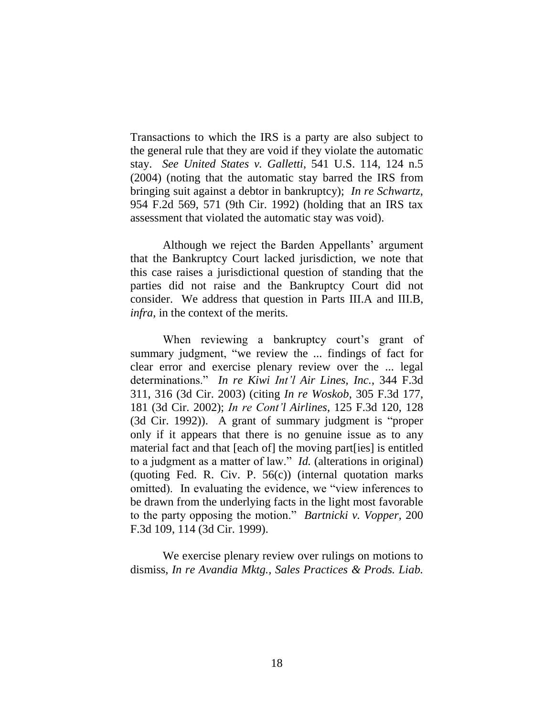Transactions to which the IRS is a party are also subject to the general rule that they are void if they violate the automatic stay. *See United States v. Galletti*, 541 U.S. 114, 124 n.5 (2004) (noting that the automatic stay barred the IRS from bringing suit against a debtor in bankruptcy); *In re Schwartz*, 954 F.2d 569, 571 (9th Cir. 1992) (holding that an IRS tax assessment that violated the automatic stay was void).

Although we reject the Barden Appellants' argument that the Bankruptcy Court lacked jurisdiction, we note that this case raises a jurisdictional question of standing that the parties did not raise and the Bankruptcy Court did not consider. We address that question in Parts III.A and III.B, *infra*, in the context of the merits.

When reviewing a bankruptcy court's grant of summary judgment, "we review the ... findings of fact for clear error and exercise plenary review over the ... legal determinations." *In re Kiwi Int'l Air Lines, Inc.*, 344 F.3d 311, 316 (3d Cir. 2003) (citing *In re Woskob*, 305 F.3d 177, 181 (3d Cir. 2002); *In re Cont'l Airlines*, 125 F.3d 120, 128 (3d Cir. 1992)). A grant of summary judgment is "proper only if it appears that there is no genuine issue as to any material fact and that [each of] the moving part[ies] is entitled to a judgment as a matter of law." *Id.* (alterations in original) (quoting Fed. R. Civ. P.  $56(c)$ ) (internal quotation marks omitted). In evaluating the evidence, we "view inferences to be drawn from the underlying facts in the light most favorable to the party opposing the motion." *Bartnicki v. Vopper,* 200 F.3d 109, 114 (3d Cir. 1999).

We exercise plenary review over rulings on motions to dismiss, *In re Avandia Mktg., Sales Practices & Prods. Liab.*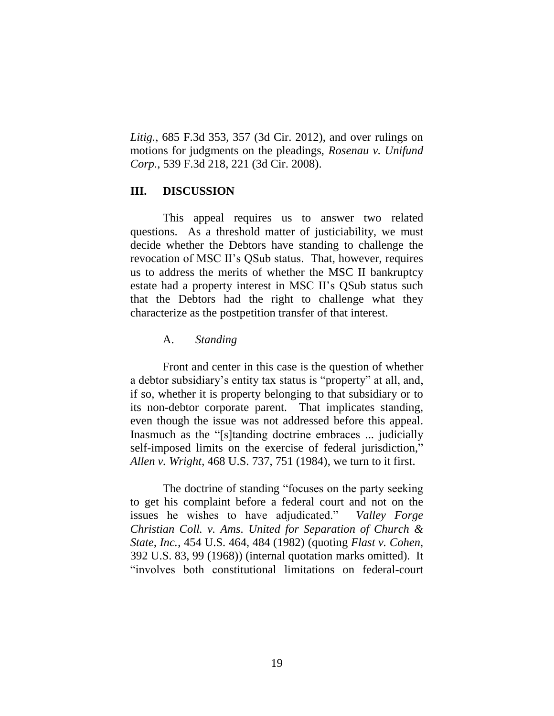*Litig.*, 685 F.3d 353, 357 (3d Cir. 2012), and over rulings on motions for judgments on the pleadings, *Rosenau v. Unifund Corp.*, 539 F.3d 218, 221 (3d Cir. 2008).

## **III. DISCUSSION**

This appeal requires us to answer two related questions. As a threshold matter of justiciability, we must decide whether the Debtors have standing to challenge the revocation of MSC II"s QSub status. That, however, requires us to address the merits of whether the MSC II bankruptcy estate had a property interest in MSC II"s QSub status such that the Debtors had the right to challenge what they characterize as the postpetition transfer of that interest.

#### A. *Standing*

Front and center in this case is the question of whether a debtor subsidiary"s entity tax status is "property" at all, and, if so, whether it is property belonging to that subsidiary or to its non-debtor corporate parent. That implicates standing, even though the issue was not addressed before this appeal. Inasmuch as the "[s]tanding doctrine embraces ... judicially self-imposed limits on the exercise of federal jurisdiction," *Allen v. Wright*, 468 U.S. 737, 751 (1984), we turn to it first.

The doctrine of standing "focuses on the party seeking to get his complaint before a federal court and not on the issues he wishes to have adjudicated." *Valley Forge Christian Coll. v. Ams. United for Separation of Church & State, Inc.*, 454 U.S. 464, 484 (1982) (quoting *Flast v. Cohen*, 392 U.S. 83, 99 (1968)) (internal quotation marks omitted). It "involves both constitutional limitations on federal-court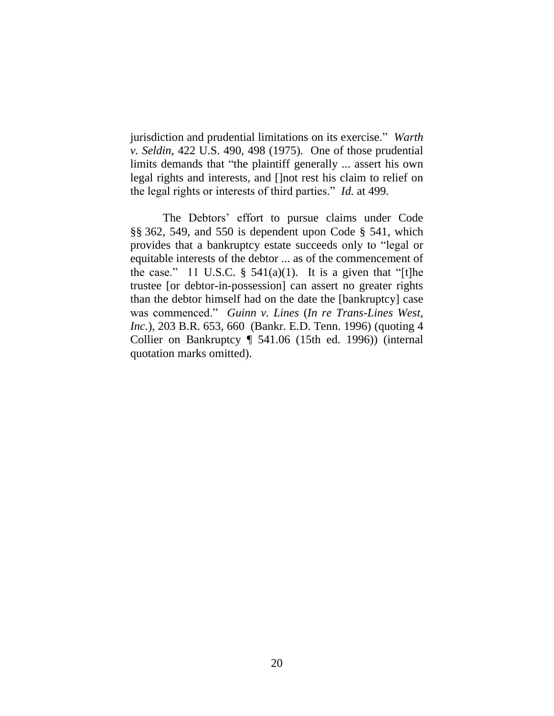jurisdiction and prudential limitations on its exercise." *Warth v. Seldin*, 422 U.S. 490, 498 (1975). One of those prudential limits demands that "the plaintiff generally ... assert his own legal rights and interests, and []not rest his claim to relief on the legal rights or interests of third parties." *Id.* at 499.

The Debtors' effort to pursue claims under Code §§ 362, 549, and 550 is dependent upon Code § 541, which provides that a bankruptcy estate succeeds only to "legal or equitable interests of the debtor ... as of the commencement of the case." 11 U.S.C.  $\S$  541(a)(1). It is a given that "[t]he trustee [or debtor-in-possession] can assert no greater rights than the debtor himself had on the date the [bankruptcy] case was commenced." *Guinn v. Lines* (*In re Trans-Lines West, Inc.*), 203 B.R. 653, 660 (Bankr. E.D. Tenn. 1996) (quoting 4 Collier on Bankruptcy ¶ 541.06 (15th ed. 1996)) (internal quotation marks omitted).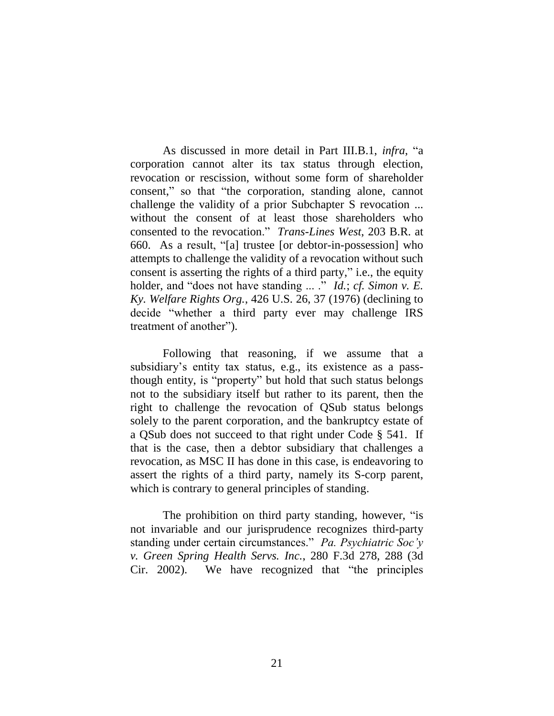As discussed in more detail in Part III.B.1, *infra*, "a corporation cannot alter its tax status through election, revocation or rescission, without some form of shareholder consent," so that "the corporation, standing alone, cannot challenge the validity of a prior Subchapter S revocation ... without the consent of at least those shareholders who consented to the revocation." *Trans-Lines West*, 203 B.R. at 660. As a result, "[a] trustee [or debtor-in-possession] who attempts to challenge the validity of a revocation without such consent is asserting the rights of a third party," i.e., the equity holder, and "does not have standing ... ." *Id.*; *cf. Simon v. E. Ky. Welfare Rights Org.*, 426 U.S. 26, 37 (1976) (declining to decide "whether a third party ever may challenge IRS treatment of another").

Following that reasoning, if we assume that a subsidiary's entity tax status, e.g., its existence as a passthough entity, is "property" but hold that such status belongs not to the subsidiary itself but rather to its parent, then the right to challenge the revocation of QSub status belongs solely to the parent corporation, and the bankruptcy estate of a QSub does not succeed to that right under Code § 541. If that is the case, then a debtor subsidiary that challenges a revocation, as MSC II has done in this case, is endeavoring to assert the rights of a third party, namely its S-corp parent, which is contrary to general principles of standing.

The prohibition on third party standing, however, "is not invariable and our jurisprudence recognizes third-party standing under certain circumstances." *Pa. Psychiatric Soc'y v. Green Spring Health Servs. Inc.*, 280 F.3d 278, 288 (3d Cir. 2002). We have recognized that "the principles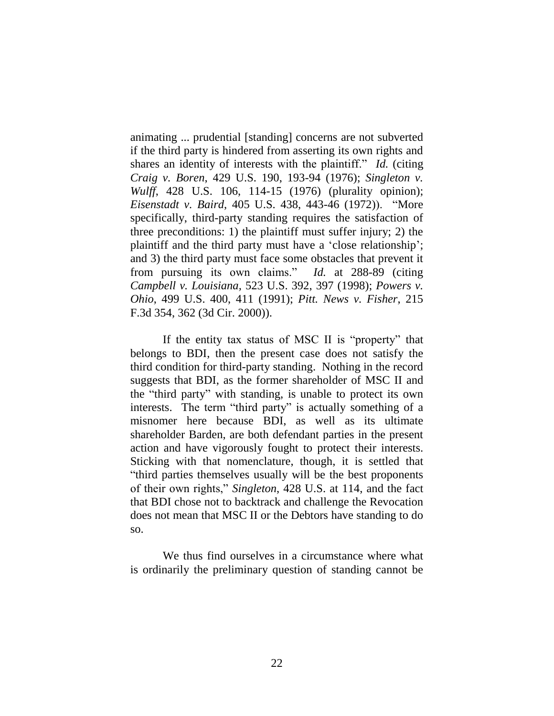animating ... prudential [standing] concerns are not subverted if the third party is hindered from asserting its own rights and shares an identity of interests with the plaintiff." *Id.* (citing *Craig v. Boren*, 429 U.S. 190, 193-94 (1976); *Singleton v. Wulff*, 428 U.S. 106, 114-15 (1976) (plurality opinion); *Eisenstadt v. Baird*, 405 U.S. 438, 443-46 (1972)). "More specifically, third-party standing requires the satisfaction of three preconditions: 1) the plaintiff must suffer injury; 2) the plaintiff and the third party must have a "close relationship"; and 3) the third party must face some obstacles that prevent it from pursuing its own claims." *Id.* at 288-89 (citing *Campbell v. Louisiana,* 523 U.S. 392, 397 (1998); *Powers v. Ohio*, 499 U.S. 400, 411 (1991); *Pitt. News v. Fisher*, 215 F.3d 354, 362 (3d Cir. 2000)).

If the entity tax status of MSC II is "property" that belongs to BDI, then the present case does not satisfy the third condition for third-party standing. Nothing in the record suggests that BDI, as the former shareholder of MSC II and the "third party" with standing, is unable to protect its own interests. The term "third party" is actually something of a misnomer here because BDI, as well as its ultimate shareholder Barden, are both defendant parties in the present action and have vigorously fought to protect their interests. Sticking with that nomenclature, though, it is settled that "third parties themselves usually will be the best proponents of their own rights," *Singleton*, 428 U.S. at 114, and the fact that BDI chose not to backtrack and challenge the Revocation does not mean that MSC II or the Debtors have standing to do so.

We thus find ourselves in a circumstance where what is ordinarily the preliminary question of standing cannot be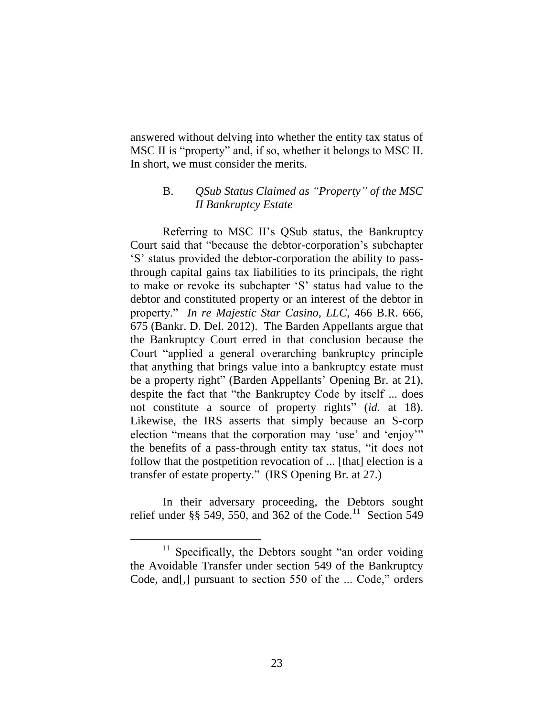answered without delving into whether the entity tax status of MSC II is "property" and, if so, whether it belongs to MSC II. In short, we must consider the merits.

# B. *QSub Status Claimed as "Property" of the MSC II Bankruptcy Estate*

Referring to MSC II"s QSub status, the Bankruptcy Court said that "because the debtor-corporation"s subchapter "S" status provided the debtor-corporation the ability to passthrough capital gains tax liabilities to its principals, the right to make or revoke its subchapter "S" status had value to the debtor and constituted property or an interest of the debtor in property." *In re Majestic Star Casino, LLC*, 466 B.R. 666, 675 (Bankr. D. Del. 2012). The Barden Appellants argue that the Bankruptcy Court erred in that conclusion because the Court "applied a general overarching bankruptcy principle that anything that brings value into a bankruptcy estate must be a property right" (Barden Appellants' Opening Br. at 21), despite the fact that "the Bankruptcy Code by itself ... does not constitute a source of property rights" (*id.* at 18). Likewise, the IRS asserts that simply because an S-corp election "means that the corporation may 'use' and 'enjoy'" the benefits of a pass-through entity tax status, "it does not follow that the postpetition revocation of ... [that] election is a transfer of estate property." (IRS Opening Br. at 27.)

In their adversary proceeding, the Debtors sought relief under §§ 549, 550, and 362 of the Code.<sup>11</sup> Section 549

<sup>&</sup>lt;sup>11</sup> Specifically, the Debtors sought "an order voiding the Avoidable Transfer under section 549 of the Bankruptcy Code, and[,] pursuant to section 550 of the ... Code," orders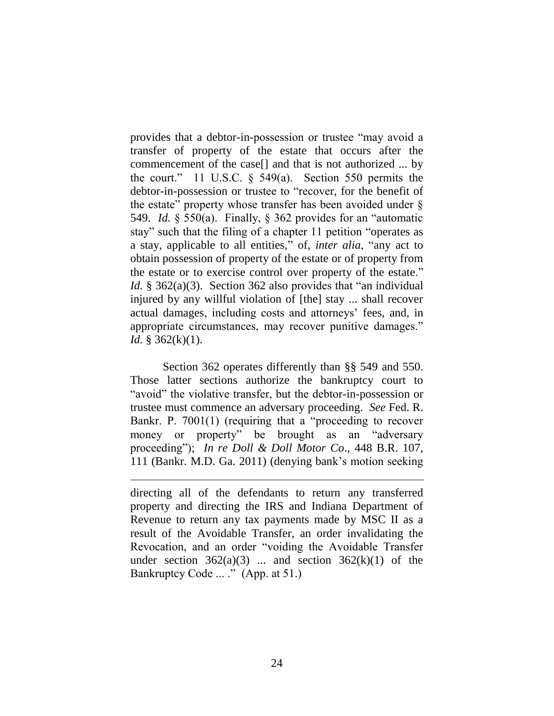provides that a debtor-in-possession or trustee "may avoid a transfer of property of the estate that occurs after the commencement of the case[] and that is not authorized ... by the court." 11 U.S.C. § 549(a). Section 550 permits the debtor-in-possession or trustee to "recover, for the benefit of the estate" property whose transfer has been avoided under § 549. *Id.* § 550(a). Finally, § 362 provides for an "automatic stay" such that the filing of a chapter 11 petition "operates as a stay, applicable to all entities," of, *inter alia*, "any act to obtain possession of property of the estate or of property from the estate or to exercise control over property of the estate." *Id.* § 362(a)(3). Section 362 also provides that "an individual injured by any willful violation of [the] stay ... shall recover actual damages, including costs and attorneys' fees, and, in appropriate circumstances, may recover punitive damages." *Id.* § 362(k)(1).

Section 362 operates differently than §§ 549 and 550. Those latter sections authorize the bankruptcy court to "avoid" the violative transfer, but the debtor-in-possession or trustee must commence an adversary proceeding. *See* Fed. R. Bankr. P. 7001(1) (requiring that a "proceeding to recover money or property" be brought as an "adversary proceeding"); *In re Doll & Doll Motor Co*., 448 B.R. 107, 111 (Bankr. M.D. Ga. 2011) (denying bank"s motion seeking

directing all of the defendants to return any transferred property and directing the IRS and Indiana Department of Revenue to return any tax payments made by MSC II as a result of the Avoidable Transfer, an order invalidating the Revocation, and an order "voiding the Avoidable Transfer under section  $362(a)(3)$  ... and section  $362(k)(1)$  of the Bankruptcy Code ... ." (App. at 51.)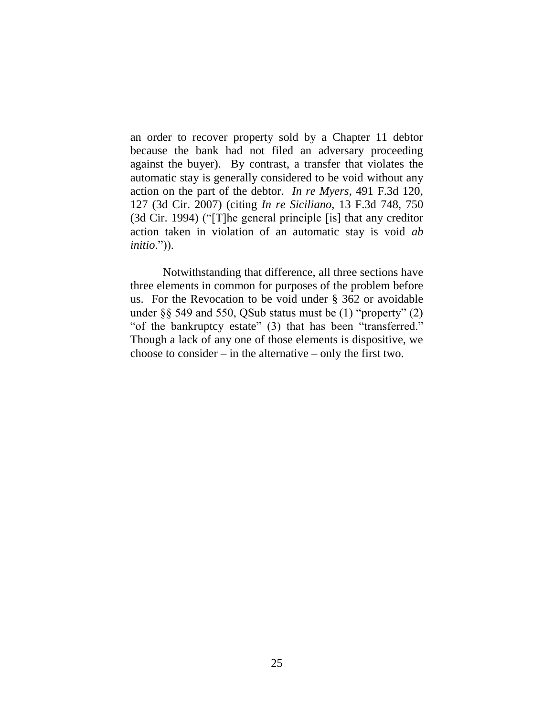an order to recover property sold by a Chapter 11 debtor because the bank had not filed an adversary proceeding against the buyer). By contrast, a transfer that violates the automatic stay is generally considered to be void without any action on the part of the debtor. *In re Myers*, 491 F.3d 120, 127 (3d Cir. 2007) (citing *In re Siciliano*, 13 F.3d 748, 750 (3d Cir. 1994) ("[T]he general principle [is] that any creditor action taken in violation of an automatic stay is void *ab initio*.")).

Notwithstanding that difference, all three sections have three elements in common for purposes of the problem before us. For the Revocation to be void under § 362 or avoidable under §§ 549 and 550, QSub status must be (1) "property" (2) "of the bankruptcy estate" (3) that has been "transferred." Though a lack of any one of those elements is dispositive, we choose to consider – in the alternative – only the first two.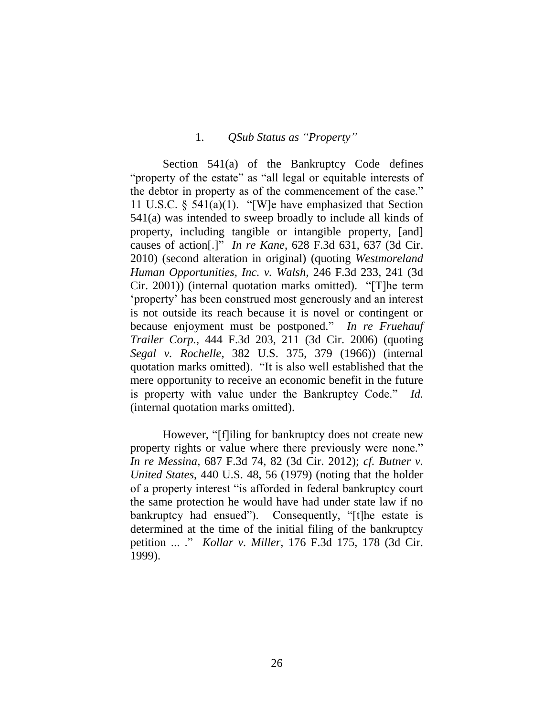### 1. *QSub Status as "Property"*

Section 541(a) of the Bankruptcy Code defines "property of the estate" as "all legal or equitable interests of the debtor in property as of the commencement of the case." 11 U.S.C. § 541(a)(1). "[W]e have emphasized that Section 541(a) was intended to sweep broadly to include all kinds of property, including tangible or intangible property, [and] causes of action[.]" *In re Kane*, 628 F.3d 631, 637 (3d Cir. 2010) (second alteration in original) (quoting *Westmoreland Human Opportunities, Inc. v. Walsh*, 246 F.3d 233, 241 (3d Cir. 2001)) (internal quotation marks omitted). "[T]he term "property" has been construed most generously and an interest is not outside its reach because it is novel or contingent or because enjoyment must be postponed." *In re Fruehauf Trailer Corp.*, 444 F.3d 203, 211 (3d Cir. 2006) (quoting *Segal v. Rochelle*, 382 U.S. 375, 379 (1966)) (internal quotation marks omitted). "It is also well established that the mere opportunity to receive an economic benefit in the future is property with value under the Bankruptcy Code." *Id.*  (internal quotation marks omitted).

However, "[f]iling for bankruptcy does not create new property rights or value where there previously were none." *In re Messina*, 687 F.3d 74, 82 (3d Cir. 2012); *cf. Butner v. United States*, 440 U.S. 48, 56 (1979) (noting that the holder of a property interest "is afforded in federal bankruptcy court the same protection he would have had under state law if no bankruptcy had ensued"). Consequently, "[t]he estate is determined at the time of the initial filing of the bankruptcy petition ... ." *Kollar v. Miller*, 176 F.3d 175, 178 (3d Cir. 1999).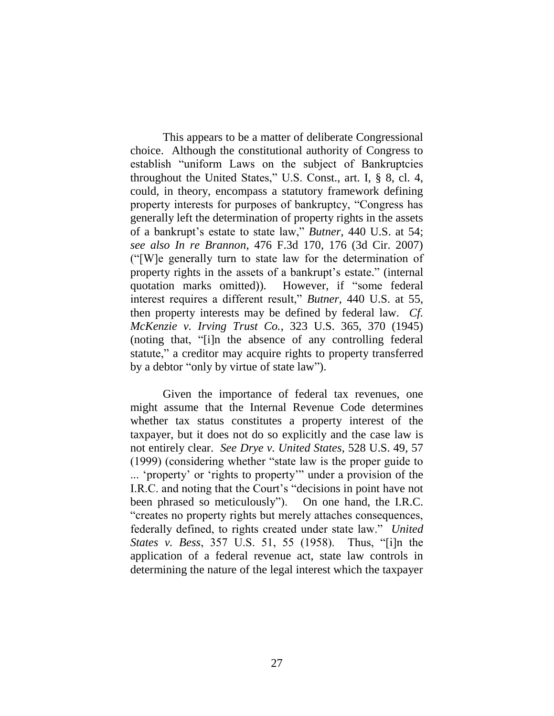This appears to be a matter of deliberate Congressional choice. Although the constitutional authority of Congress to establish "uniform Laws on the subject of Bankruptcies throughout the United States," U.S. Const., art. I, § 8, cl. 4, could, in theory, encompass a statutory framework defining property interests for purposes of bankruptcy, "Congress has generally left the determination of property rights in the assets of a bankrupt's estate to state law," *Butner*, 440 U.S. at 54; *see also In re Brannon*, 476 F.3d 170, 176 (3d Cir. 2007) ("[W]e generally turn to state law for the determination of property rights in the assets of a bankrupt's estate." (internal quotation marks omitted)). However, if "some federal interest requires a different result," *Butner*, 440 U.S. at 55, then property interests may be defined by federal law. *Cf. McKenzie v. Irving Trust Co.*, 323 U.S. 365, 370 (1945) (noting that, "[i]n the absence of any controlling federal statute," a creditor may acquire rights to property transferred by a debtor "only by virtue of state law").

Given the importance of federal tax revenues, one might assume that the Internal Revenue Code determines whether tax status constitutes a property interest of the taxpayer, but it does not do so explicitly and the case law is not entirely clear. *See Drye v. United States*, 528 U.S. 49, 57 (1999) (considering whether "state law is the proper guide to ... "property" or "rights to property"" under a provision of the I.R.C. and noting that the Court's "decisions in point have not been phrased so meticulously"). On one hand, the I.R.C. "creates no property rights but merely attaches consequences, federally defined, to rights created under state law." *United States v. Bess*, 357 U.S. 51, 55 (1958). Thus, "[i]n the application of a federal revenue act, state law controls in determining the nature of the legal interest which the taxpayer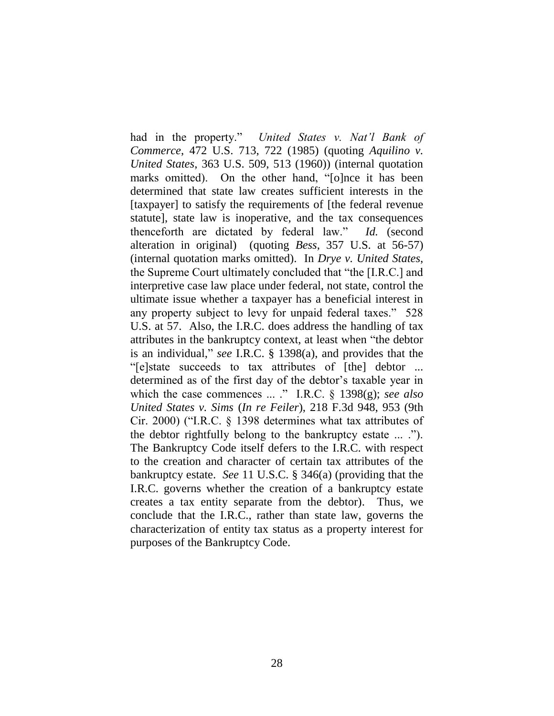had in the property." *United States v. Nat'l Bank of Commerce*, 472 U.S. 713, 722 (1985) (quoting *Aquilino v. United States*, 363 U.S. 509, 513 (1960)) (internal quotation marks omitted). On the other hand, "[o]nce it has been determined that state law creates sufficient interests in the [taxpayer] to satisfy the requirements of [the federal revenue statute], state law is inoperative, and the tax consequences thenceforth are dictated by federal law." *Id.* (second alteration in original) (quoting *Bess*, 357 U.S. at 56-57) (internal quotation marks omitted). In *Drye v. United States*, the Supreme Court ultimately concluded that "the [I.R.C.] and interpretive case law place under federal, not state, control the ultimate issue whether a taxpayer has a beneficial interest in any property subject to levy for unpaid federal taxes." 528 U.S. at 57. Also, the I.R.C. does address the handling of tax attributes in the bankruptcy context, at least when "the debtor is an individual," *see* I.R.C. § 1398(a), and provides that the "[e]state succeeds to tax attributes of [the] debtor ... determined as of the first day of the debtor's taxable year in which the case commences ... ." I.R.C. § 1398(g); *see also United States v. Sims* (*In re Feiler*), 218 F.3d 948, 953 (9th Cir. 2000) ("I.R.C. § 1398 determines what tax attributes of the debtor rightfully belong to the bankruptcy estate ... ."). The Bankruptcy Code itself defers to the I.R.C. with respect to the creation and character of certain tax attributes of the bankruptcy estate. *See* 11 U.S.C. § 346(a) (providing that the I.R.C. governs whether the creation of a bankruptcy estate creates a tax entity separate from the debtor). Thus, we conclude that the I.R.C., rather than state law, governs the characterization of entity tax status as a property interest for purposes of the Bankruptcy Code.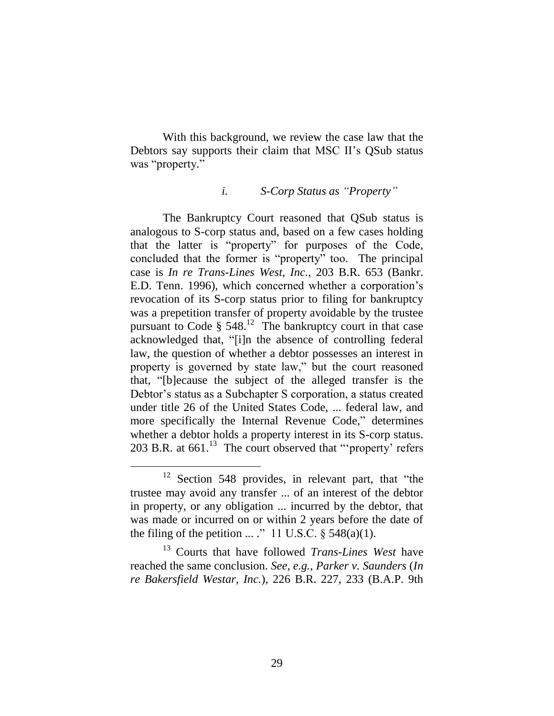With this background, we review the case law that the Debtors say supports their claim that MSC II"s QSub status was "property."

#### *i. S-Corp Status as "Property"*

The Bankruptcy Court reasoned that QSub status is analogous to S-corp status and, based on a few cases holding that the latter is "property" for purposes of the Code, concluded that the former is "property" too. The principal case is *In re Trans-Lines West, Inc.*, 203 B.R. 653 (Bankr. E.D. Tenn. 1996), which concerned whether a corporation"s revocation of its S-corp status prior to filing for bankruptcy was a prepetition transfer of property avoidable by the trustee pursuant to Code  $\S$  548.<sup>12</sup> The bankruptcy court in that case acknowledged that, "[i]n the absence of controlling federal law, the question of whether a debtor possesses an interest in property is governed by state law," but the court reasoned that, "[b]ecause the subject of the alleged transfer is the Debtor"s status as a Subchapter S corporation, a status created under title 26 of the United States Code, ... federal law, and more specifically the Internal Revenue Code," determines whether a debtor holds a property interest in its S-corp status. 203 B.R. at  $661$ .<sup>13</sup> The court observed that "'property' refers

 $\overline{a}$ 

<sup>13</sup> Courts that have followed *Trans-Lines West* have reached the same conclusion. *See, e.g.*, *Parker v. Saunders* (*In re Bakersfield Westar, Inc.*), 226 B.R. 227, 233 (B.A.P. 9th

<sup>&</sup>lt;sup>12</sup> Section 548 provides, in relevant part, that "the trustee may avoid any transfer ... of an interest of the debtor in property, or any obligation ... incurred by the debtor, that was made or incurred on or within 2 years before the date of the filing of the petition ... ." 11 U.S.C.  $\S$  548(a)(1).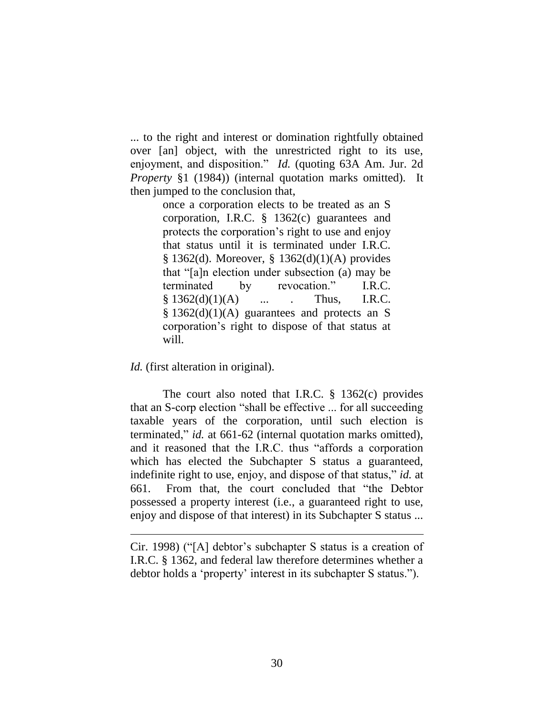... to the right and interest or domination rightfully obtained over [an] object, with the unrestricted right to its use, enjoyment, and disposition." *Id.* (quoting 63A Am. Jur. 2d *Property* §1 (1984)) (internal quotation marks omitted). It then jumped to the conclusion that,

> once a corporation elects to be treated as an S corporation, I.R.C. § 1362(c) guarantees and protects the corporation"s right to use and enjoy that status until it is terminated under I.R.C. § 1362(d). Moreover, § 1362(d)(1)(A) provides that "[a]n election under subsection (a) may be terminated by revocation." I.R.C.  $§ 1362(d)(1)(A)$  ... Thus, I.R.C.  $§ 1362(d)(1)(A)$  guarantees and protects an S corporation"s right to dispose of that status at will.

*Id.* (first alteration in original).

 $\overline{a}$ 

The court also noted that I.R.C. § 1362(c) provides that an S-corp election "shall be effective ... for all succeeding taxable years of the corporation, until such election is terminated," *id.* at 661-62 (internal quotation marks omitted), and it reasoned that the I.R.C. thus "affords a corporation which has elected the Subchapter S status a guaranteed, indefinite right to use, enjoy, and dispose of that status," *id.* at 661. From that, the court concluded that "the Debtor possessed a property interest (i.e., a guaranteed right to use, enjoy and dispose of that interest) in its Subchapter S status ...

Cir. 1998) ("[A] debtor's subchapter S status is a creation of I.R.C. § 1362, and federal law therefore determines whether a debtor holds a "property" interest in its subchapter S status.").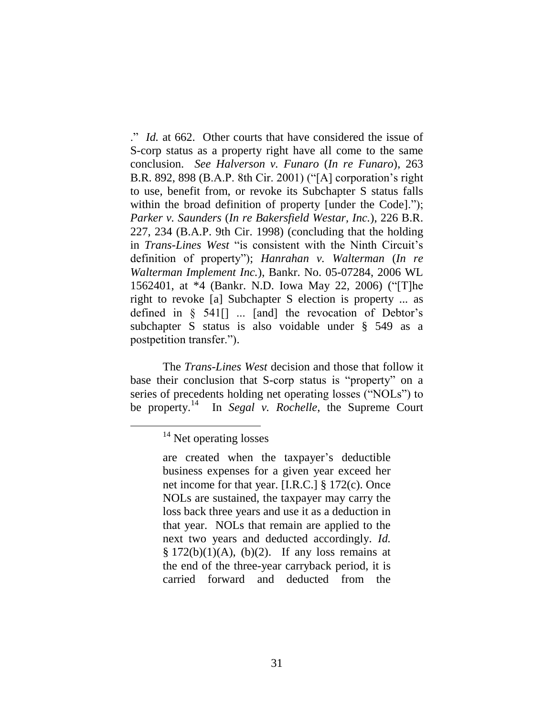." *Id.* at 662. Other courts that have considered the issue of S-corp status as a property right have all come to the same conclusion. *See Halverson v. Funaro* (*In re Funaro*), 263 B.R. 892, 898 (B.A.P. 8th Cir. 2001) ("[A] corporation"s right to use, benefit from, or revoke its Subchapter S status falls within the broad definition of property [under the Code]."); *Parker v. Saunders* (*In re Bakersfield Westar, Inc.*), 226 B.R. 227, 234 (B.A.P. 9th Cir. 1998) (concluding that the holding in *Trans-Lines West* "is consistent with the Ninth Circuit's definition of property"); *Hanrahan v. Walterman* (*In re Walterman Implement Inc.*), Bankr. No. 05-07284, 2006 WL 1562401, at \*4 (Bankr. N.D. Iowa May 22, 2006) ("[T]he right to revoke [a] Subchapter S election is property ... as defined in  $\S$  541<sup> $\vert$ </sup> ... [and] the revocation of Debtor's subchapter S status is also voidable under § 549 as a postpetition transfer.").

The *Trans-Lines West* decision and those that follow it base their conclusion that S-corp status is "property" on a series of precedents holding net operating losses ("NOLs") to be property.<sup>14</sup> In *Segal v. Rochelle*, the Supreme Court

 $14$  Net operating losses

are created when the taxpayer"s deductible business expenses for a given year exceed her net income for that year. [I.R.C.] § 172(c). Once NOLs are sustained, the taxpayer may carry the loss back three years and use it as a deduction in that year. NOLs that remain are applied to the next two years and deducted accordingly. *Id.*  $§ 172(b)(1)(A), (b)(2).$  If any loss remains at the end of the three-year carryback period, it is carried forward and deducted from the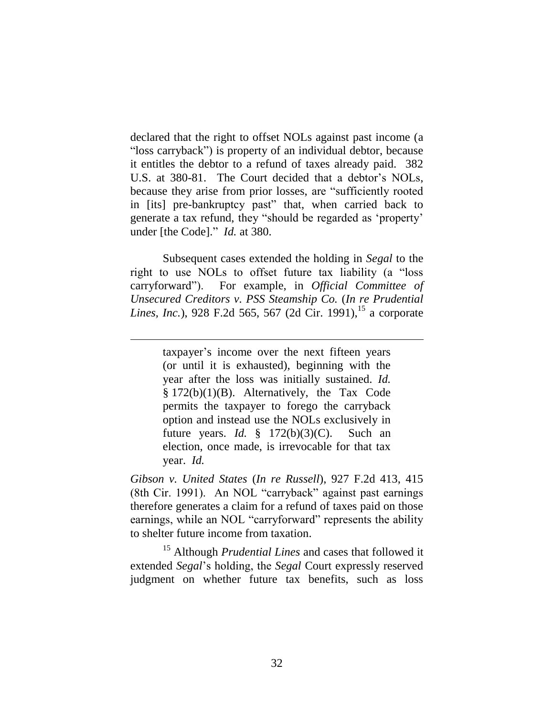declared that the right to offset NOLs against past income (a "loss carryback") is property of an individual debtor, because it entitles the debtor to a refund of taxes already paid. 382 U.S. at 380-81. The Court decided that a debtor's NOLs, because they arise from prior losses, are "sufficiently rooted in [its] pre-bankruptcy past" that, when carried back to generate a tax refund, they "should be regarded as "property" under [the Code]." *Id.* at 380.

Subsequent cases extended the holding in *Segal* to the right to use NOLs to offset future tax liability (a "loss carryforward"). For example, in *Official Committee of Unsecured Creditors v. PSS Steamship Co.* (*In re Prudential Lines, Inc.*), 928 F.2d 565, 567 (2d Cir. 1991),<sup>15</sup> a corporate

 $\overline{a}$ 

taxpayer"s income over the next fifteen years (or until it is exhausted), beginning with the year after the loss was initially sustained. *Id.* § 172(b)(1)(B). Alternatively, the Tax Code permits the taxpayer to forego the carryback option and instead use the NOLs exclusively in future years. *Id.* § 172(b)(3)(C). Such an election, once made, is irrevocable for that tax year. *Id.*

*Gibson v. United States* (*In re Russell*), 927 F.2d 413, 415 (8th Cir. 1991). An NOL "carryback" against past earnings therefore generates a claim for a refund of taxes paid on those earnings, while an NOL "carryforward" represents the ability to shelter future income from taxation.

<sup>15</sup> Although *Prudential Lines* and cases that followed it extended *Segal*"s holding, the *Segal* Court expressly reserved judgment on whether future tax benefits, such as loss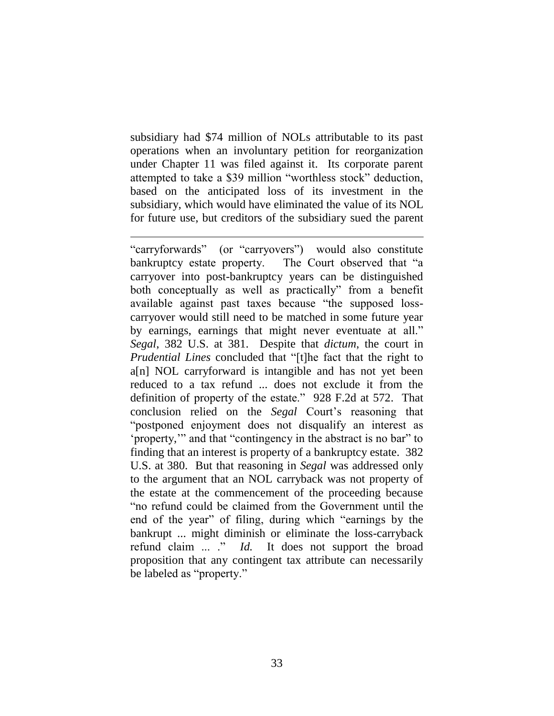subsidiary had \$74 million of NOLs attributable to its past operations when an involuntary petition for reorganization under Chapter 11 was filed against it. Its corporate parent attempted to take a \$39 million "worthless stock" deduction, based on the anticipated loss of its investment in the subsidiary, which would have eliminated the value of its NOL for future use, but creditors of the subsidiary sued the parent

 $\overline{a}$ 

"carryforwards" (or "carryovers") would also constitute bankruptcy estate property. The Court observed that "a carryover into post-bankruptcy years can be distinguished both conceptually as well as practically" from a benefit available against past taxes because "the supposed losscarryover would still need to be matched in some future year by earnings, earnings that might never eventuate at all." *Segal*, 382 U.S. at 381. Despite that *dictum*, the court in *Prudential Lines* concluded that "[t]he fact that the right to a[n] NOL carryforward is intangible and has not yet been reduced to a tax refund ... does not exclude it from the definition of property of the estate." 928 F.2d at 572. That conclusion relied on the *Segal* Court"s reasoning that "postponed enjoyment does not disqualify an interest as "property,"" and that "contingency in the abstract is no bar" to finding that an interest is property of a bankruptcy estate. 382 U.S. at 380. But that reasoning in *Segal* was addressed only to the argument that an NOL carryback was not property of the estate at the commencement of the proceeding because "no refund could be claimed from the Government until the end of the year" of filing, during which "earnings by the bankrupt ... might diminish or eliminate the loss-carryback refund claim ... ." *Id.* It does not support the broad proposition that any contingent tax attribute can necessarily be labeled as "property."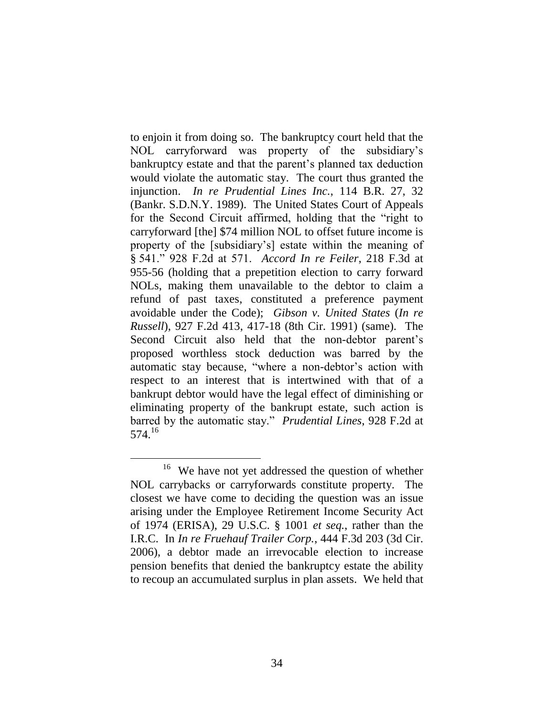to enjoin it from doing so. The bankruptcy court held that the NOL carryforward was property of the subsidiary"s bankruptcy estate and that the parent's planned tax deduction would violate the automatic stay. The court thus granted the injunction. *In re Prudential Lines Inc.*, 114 B.R. 27, 32 (Bankr. S.D.N.Y. 1989). The United States Court of Appeals for the Second Circuit affirmed, holding that the "right to carryforward [the] \$74 million NOL to offset future income is property of the [subsidiary"s] estate within the meaning of § 541." 928 F.2d at 571. *Accord In re Feiler*, 218 F.3d at 955-56 (holding that a prepetition election to carry forward NOLs, making them unavailable to the debtor to claim a refund of past taxes, constituted a preference payment avoidable under the Code); *Gibson v. United States* (*In re Russell*), 927 F.2d 413, 417-18 (8th Cir. 1991) (same). The Second Circuit also held that the non-debtor parent's proposed worthless stock deduction was barred by the automatic stay because, "where a non-debtor's action with respect to an interest that is intertwined with that of a bankrupt debtor would have the legal effect of diminishing or eliminating property of the bankrupt estate, such action is barred by the automatic stay." *Prudential Lines*, 928 F.2d at 574.<sup>16</sup>

<sup>&</sup>lt;sup>16</sup> We have not yet addressed the question of whether NOL carrybacks or carryforwards constitute property. The closest we have come to deciding the question was an issue arising under the Employee Retirement Income Security Act of 1974 (ERISA), 29 U.S.C. § 1001 *et seq.*, rather than the I.R.C. In *In re Fruehauf Trailer Corp.*, 444 F.3d 203 (3d Cir. 2006), a debtor made an irrevocable election to increase pension benefits that denied the bankruptcy estate the ability to recoup an accumulated surplus in plan assets. We held that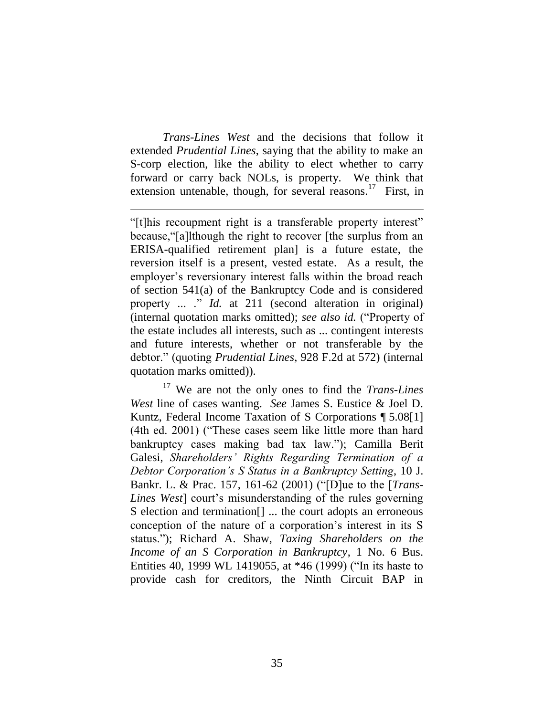*Trans-Lines West* and the decisions that follow it extended *Prudential Lines*, saying that the ability to make an S-corp election, like the ability to elect whether to carry forward or carry back NOLs, is property. We think that extension untenable, though, for several reasons.<sup>17</sup> First, in

 $\overline{a}$ 

"[t]his recoupment right is a transferable property interest" because,"[a]lthough the right to recover [the surplus from an ERISA-qualified retirement plan] is a future estate, the reversion itself is a present, vested estate. As a result, the employer's reversionary interest falls within the broad reach of section 541(a) of the Bankruptcy Code and is considered property ... ." *Id.* at 211 (second alteration in original) (internal quotation marks omitted); *see also id.* ("Property of the estate includes all interests, such as ... contingent interests and future interests, whether or not transferable by the debtor." (quoting *Prudential Lines*, 928 F.2d at 572) (internal quotation marks omitted)).

<sup>17</sup> We are not the only ones to find the *Trans-Lines West* line of cases wanting. *See* James S. Eustice & Joel D. Kuntz, Federal Income Taxation of S Corporations ¶ 5.08[1] (4th ed. 2001) ("These cases seem like little more than hard bankruptcy cases making bad tax law."); Camilla Berit Galesi, *Shareholders' Rights Regarding Termination of a Debtor Corporation's S Status in a Bankruptcy Setting*, 10 J. Bankr. L. & Prac. 157, 161-62 (2001) ("[D]ue to the [*Trans-Lines West* court's misunderstanding of the rules governing S election and termination<sup>[]</sup> ... the court adopts an erroneous conception of the nature of a corporation"s interest in its S status."); Richard A. Shaw, *Taxing Shareholders on the Income of an S Corporation in Bankruptcy*, 1 No. 6 Bus. Entities 40, 1999 WL 1419055, at \*46 (1999) ("In its haste to provide cash for creditors, the Ninth Circuit BAP in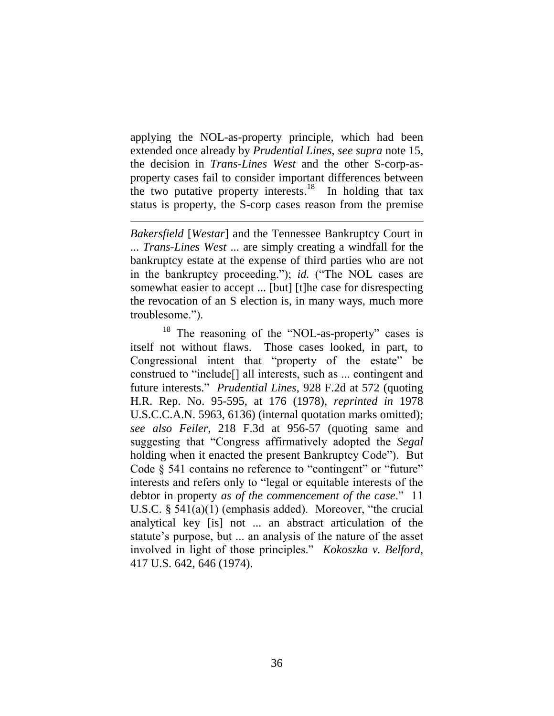applying the NOL-as-property principle, which had been extended once already by *Prudential Lines*, *see supra* note 15, the decision in *Trans-Lines West* and the other S-corp-asproperty cases fail to consider important differences between the two putative property interests.<sup>18</sup> In holding that tax status is property, the S-corp cases reason from the premise

 $\overline{a}$ 

*Bakersfield* [*Westar*] and the Tennessee Bankruptcy Court in ... *Trans-Lines West* ... are simply creating a windfall for the bankruptcy estate at the expense of third parties who are not in the bankruptcy proceeding."); *id.* ("The NOL cases are somewhat easier to accept ... [but] [t]he case for disrespecting the revocation of an S election is, in many ways, much more troublesome.").

<sup>18</sup> The reasoning of the "NOL-as-property" cases is itself not without flaws. Those cases looked, in part, to Congressional intent that "property of the estate" be construed to "include[] all interests, such as ... contingent and future interests." *Prudential Lines*, 928 F.2d at 572 (quoting H.R. Rep. No. 95-595, at 176 (1978), *reprinted in* 1978 U.S.C.C.A.N. 5963, 6136) (internal quotation marks omitted); *see also Feiler*, 218 F.3d at 956-57 (quoting same and suggesting that "Congress affirmatively adopted the *Segal*  holding when it enacted the present Bankruptcy Code"). But Code  $\S$  541 contains no reference to "contingent" or "future" interests and refers only to "legal or equitable interests of the debtor in property *as of the commencement of the case*." 11 U.S.C. § 541(a)(1) (emphasis added). Moreover, "the crucial analytical key [is] not ... an abstract articulation of the statute's purpose, but ... an analysis of the nature of the asset involved in light of those principles." *Kokoszka v. Belford*, 417 U.S. 642, 646 (1974).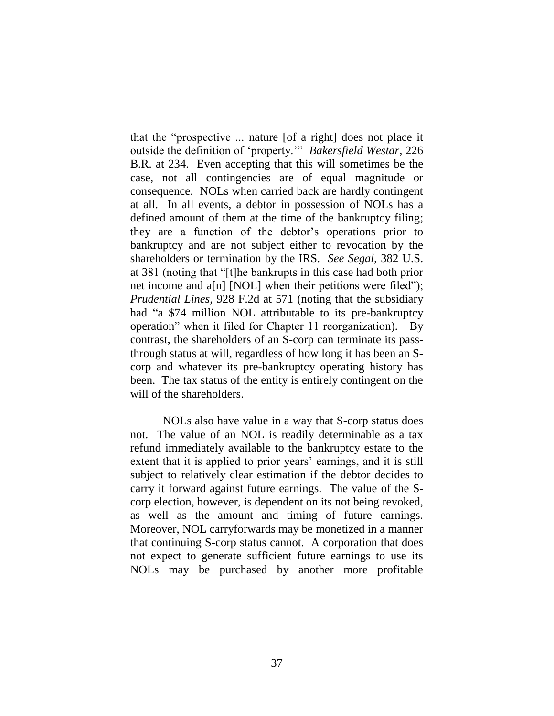that the "prospective ... nature [of a right] does not place it outside the definition of "property."" *Bakersfield Westar*, 226 B.R. at 234. Even accepting that this will sometimes be the case, not all contingencies are of equal magnitude or consequence. NOLs when carried back are hardly contingent at all. In all events, a debtor in possession of NOLs has a defined amount of them at the time of the bankruptcy filing; they are a function of the debtor"s operations prior to bankruptcy and are not subject either to revocation by the shareholders or termination by the IRS. *See Segal*, 382 U.S. at 381 (noting that "[t]he bankrupts in this case had both prior net income and  $a[n]$  [NOL] when their petitions were filed"); *Prudential Lines*, 928 F.2d at 571 (noting that the subsidiary had "a \$74 million NOL attributable to its pre-bankruptcy operation" when it filed for Chapter 11 reorganization). By contrast, the shareholders of an S-corp can terminate its passthrough status at will, regardless of how long it has been an Scorp and whatever its pre-bankruptcy operating history has been. The tax status of the entity is entirely contingent on the will of the shareholders.

NOLs also have value in a way that S-corp status does not. The value of an NOL is readily determinable as a tax refund immediately available to the bankruptcy estate to the extent that it is applied to prior years' earnings, and it is still subject to relatively clear estimation if the debtor decides to carry it forward against future earnings. The value of the Scorp election, however, is dependent on its not being revoked, as well as the amount and timing of future earnings. Moreover, NOL carryforwards may be monetized in a manner that continuing S-corp status cannot. A corporation that does not expect to generate sufficient future earnings to use its NOLs may be purchased by another more profitable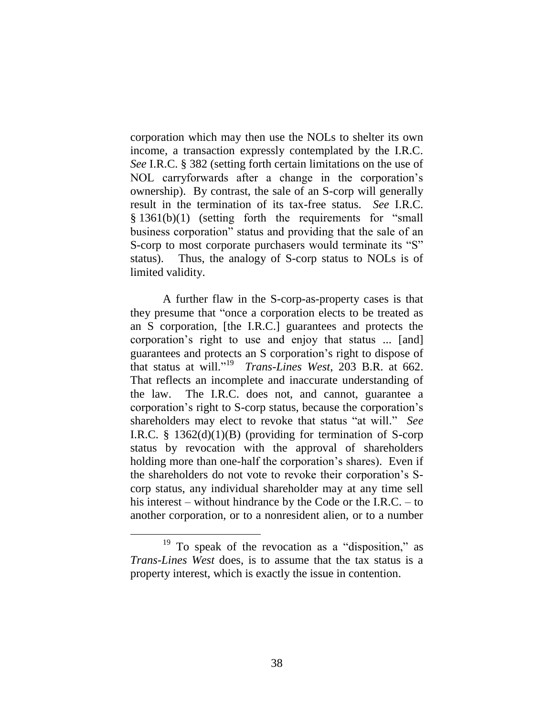corporation which may then use the NOLs to shelter its own income, a transaction expressly contemplated by the I.R.C. *See* I.R.C. § 382 (setting forth certain limitations on the use of NOL carryforwards after a change in the corporation's ownership). By contrast, the sale of an S-corp will generally result in the termination of its tax-free status. *See* I.R.C. § 1361(b)(1) (setting forth the requirements for "small business corporation" status and providing that the sale of an S-corp to most corporate purchasers would terminate its "S" status). Thus, the analogy of S-corp status to NOLs is of limited validity.

A further flaw in the S-corp-as-property cases is that they presume that "once a corporation elects to be treated as an S corporation, [the I.R.C.] guarantees and protects the corporation"s right to use and enjoy that status ... [and] guarantees and protects an S corporation"s right to dispose of that status at will." <sup>19</sup> *Trans-Lines West*, 203 B.R. at 662. That reflects an incomplete and inaccurate understanding of the law. The I.R.C. does not, and cannot, guarantee a corporation"s right to S-corp status, because the corporation"s shareholders may elect to revoke that status "at will." *See* I.R.C.  $\S$  1362(d)(1)(B) (providing for termination of S-corp status by revocation with the approval of shareholders holding more than one-half the corporation's shares). Even if the shareholders do not vote to revoke their corporation"s Scorp status, any individual shareholder may at any time sell his interest – without hindrance by the Code or the I.R.C. – to another corporation, or to a nonresident alien, or to a number

<sup>&</sup>lt;sup>19</sup> To speak of the revocation as a "disposition," as *Trans-Lines West* does, is to assume that the tax status is a property interest, which is exactly the issue in contention.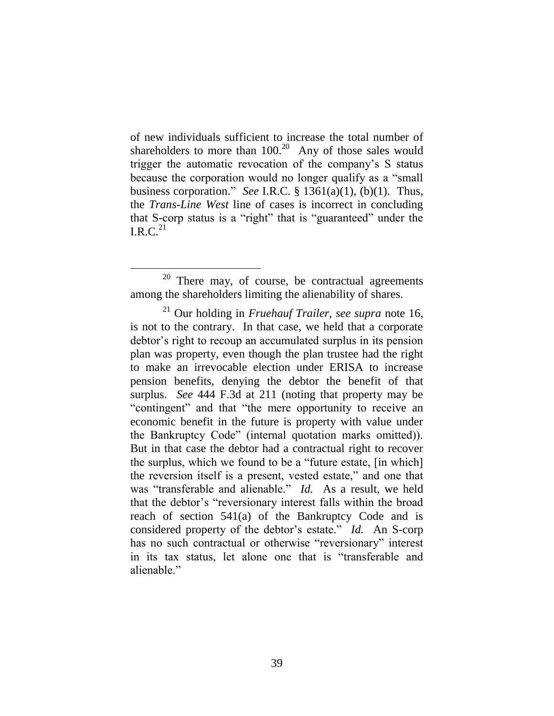of new individuals sufficient to increase the total number of shareholders to more than  $100<sup>20</sup>$  Any of those sales would trigger the automatic revocation of the company"s S status because the corporation would no longer qualify as a "small business corporation." *See* I.R.C. § 1361(a)(1), (b)(1). Thus, the *Trans-Line West* line of cases is incorrect in concluding that S-corp status is a "right" that is "guaranteed" under the I.R.C. $^{21}$ 

 $20$  There may, of course, be contractual agreements among the shareholders limiting the alienability of shares.

<sup>21</sup> Our holding in *Fruehauf Trailer*, *see supra* note 16, is not to the contrary. In that case, we held that a corporate debtor"s right to recoup an accumulated surplus in its pension plan was property, even though the plan trustee had the right to make an irrevocable election under ERISA to increase pension benefits, denying the debtor the benefit of that surplus. *See* 444 F.3d at 211 (noting that property may be "contingent" and that "the mere opportunity to receive an economic benefit in the future is property with value under the Bankruptcy Code" (internal quotation marks omitted)). But in that case the debtor had a contractual right to recover the surplus, which we found to be a "future estate, [in which] the reversion itself is a present, vested estate," and one that was "transferable and alienable." *Id.* As a result, we held that the debtor"s "reversionary interest falls within the broad reach of section 541(a) of the Bankruptcy Code and is considered property of the debtor's estate." *Id.* An S-corp has no such contractual or otherwise "reversionary" interest in its tax status, let alone one that is "transferable and alienable."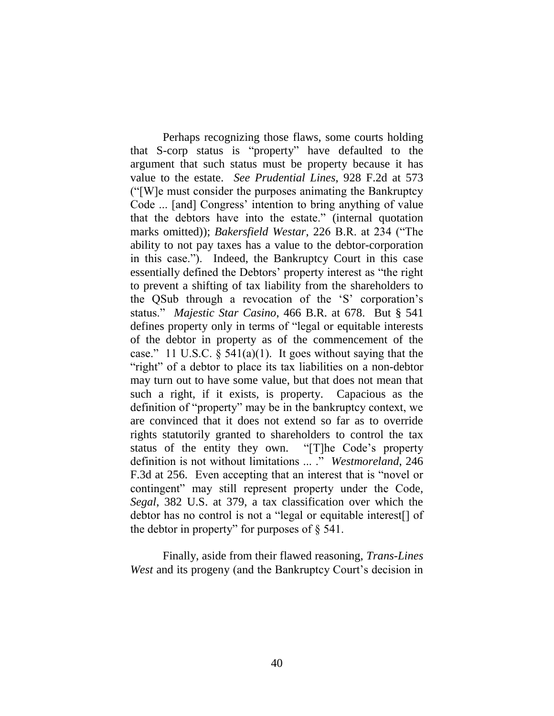Perhaps recognizing those flaws, some courts holding that S-corp status is "property" have defaulted to the argument that such status must be property because it has value to the estate. *See Prudential Lines*, 928 F.2d at 573 ("[W]e must consider the purposes animating the Bankruptcy Code ... [and] Congress' intention to bring anything of value that the debtors have into the estate." (internal quotation marks omitted)); *Bakersfield Westar*, 226 B.R. at 234 ("The ability to not pay taxes has a value to the debtor-corporation in this case."). Indeed, the Bankruptcy Court in this case essentially defined the Debtors' property interest as "the right" to prevent a shifting of tax liability from the shareholders to the QSub through a revocation of the "S" corporation"s status." *Majestic Star Casino*, 466 B.R. at 678. But § 541 defines property only in terms of "legal or equitable interests of the debtor in property as of the commencement of the case." 11 U.S.C.  $\S$  541(a)(1). It goes without saying that the "right" of a debtor to place its tax liabilities on a non-debtor may turn out to have some value, but that does not mean that such a right, if it exists, is property. Capacious as the definition of "property" may be in the bankruptcy context, we are convinced that it does not extend so far as to override rights statutorily granted to shareholders to control the tax status of the entity they own. "[T]he Code's property definition is not without limitations ... ." *Westmoreland*, 246 F.3d at 256. Even accepting that an interest that is "novel or contingent" may still represent property under the Code, *Segal*, 382 U.S. at 379, a tax classification over which the debtor has no control is not a "legal or equitable interest[] of the debtor in property" for purposes of § 541.

Finally, aside from their flawed reasoning, *Trans-Lines West* and its progeny (and the Bankruptcy Court's decision in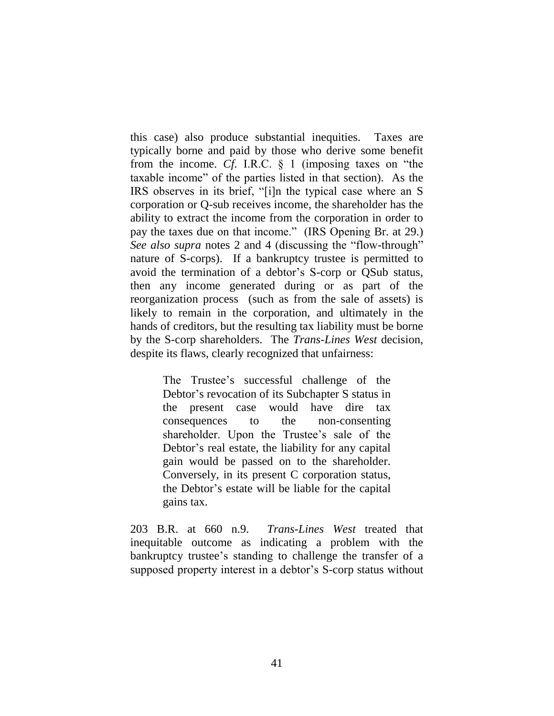this case) also produce substantial inequities. Taxes are typically borne and paid by those who derive some benefit from the income. *Cf.* I.R.C. § 1 (imposing taxes on "the taxable income" of the parties listed in that section). As the IRS observes in its brief, "[i]n the typical case where an S corporation or Q-sub receives income, the shareholder has the ability to extract the income from the corporation in order to pay the taxes due on that income." (IRS Opening Br. at 29.) *See also supra* notes 2 and 4 (discussing the "flow-through" nature of S-corps). If a bankruptcy trustee is permitted to avoid the termination of a debtor's S-corp or QSub status, then any income generated during or as part of the reorganization process (such as from the sale of assets) is likely to remain in the corporation, and ultimately in the hands of creditors, but the resulting tax liability must be borne by the S-corp shareholders. The *Trans-Lines West* decision, despite its flaws, clearly recognized that unfairness:

> The Trustee's successful challenge of the Debtor"s revocation of its Subchapter S status in the present case would have dire tax consequences to the non-consenting shareholder. Upon the Trustee's sale of the Debtor's real estate, the liability for any capital gain would be passed on to the shareholder. Conversely, in its present C corporation status, the Debtor"s estate will be liable for the capital gains tax.

203 B.R. at 660 n.9. *Trans-Lines West* treated that inequitable outcome as indicating a problem with the bankruptcy trustee's standing to challenge the transfer of a supposed property interest in a debtor's S-corp status without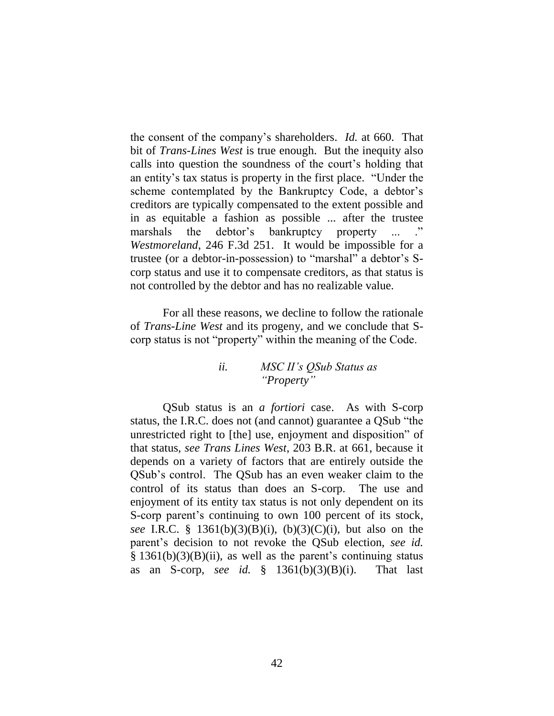the consent of the company"s shareholders. *Id.* at 660. That bit of *Trans-Lines West* is true enough. But the inequity also calls into question the soundness of the court"s holding that an entity"s tax status is property in the first place. "Under the scheme contemplated by the Bankruptcy Code, a debtor's creditors are typically compensated to the extent possible and in as equitable a fashion as possible ... after the trustee marshals the debtor's bankruptcy property ... *Westmoreland*, 246 F.3d 251. It would be impossible for a trustee (or a debtor-in-possession) to "marshal" a debtor"s Scorp status and use it to compensate creditors, as that status is not controlled by the debtor and has no realizable value.

For all these reasons, we decline to follow the rationale of *Trans-Line West* and its progeny, and we conclude that Scorp status is not "property" within the meaning of the Code.

### *ii. MSC II's QSub Status as "Property"*

QSub status is an *a fortiori* case. As with S-corp status, the I.R.C. does not (and cannot) guarantee a QSub "the unrestricted right to [the] use, enjoyment and disposition" of that status, *see Trans Lines West*, 203 B.R. at 661, because it depends on a variety of factors that are entirely outside the QSub"s control. The QSub has an even weaker claim to the control of its status than does an S-corp. The use and enjoyment of its entity tax status is not only dependent on its S-corp parent's continuing to own 100 percent of its stock, *see* I.R.C. § 1361(b)(3)(B)(i), (b)(3)(C)(i), but also on the parent"s decision to not revoke the QSub election, *see id.*   $§$  1361(b)(3)(B)(ii), as well as the parent's continuing status as an S-corp, *see id.*  $\S$  1361(b)(3)(B)(i). That last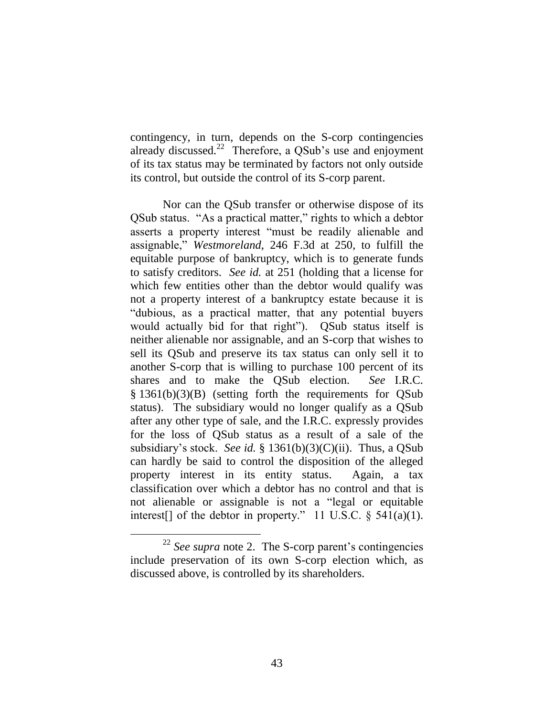contingency, in turn, depends on the S-corp contingencies already discussed. $22$  Therefore, a QSub's use and enjoyment of its tax status may be terminated by factors not only outside its control, but outside the control of its S-corp parent.

Nor can the QSub transfer or otherwise dispose of its QSub status. "As a practical matter," rights to which a debtor asserts a property interest "must be readily alienable and assignable," *Westmoreland*, 246 F.3d at 250, to fulfill the equitable purpose of bankruptcy, which is to generate funds to satisfy creditors. *See id.* at 251 (holding that a license for which few entities other than the debtor would qualify was not a property interest of a bankruptcy estate because it is "dubious, as a practical matter, that any potential buyers would actually bid for that right"). QSub status itself is neither alienable nor assignable, and an S-corp that wishes to sell its QSub and preserve its tax status can only sell it to another S-corp that is willing to purchase 100 percent of its shares and to make the QSub election. *See* I.R.C. § 1361(b)(3)(B) (setting forth the requirements for QSub status). The subsidiary would no longer qualify as a QSub after any other type of sale, and the I.R.C. expressly provides for the loss of QSub status as a result of a sale of the subsidiary"s stock. *See id.* § 1361(b)(3)(C)(ii). Thus, a QSub can hardly be said to control the disposition of the alleged property interest in its entity status. Again, a tax classification over which a debtor has no control and that is not alienable or assignable is not a "legal or equitable interest[] of the debtor in property." 11 U.S.C.  $\S$  541(a)(1).

<sup>&</sup>lt;sup>22</sup> *See supra* note 2. The S-corp parent's contingencies include preservation of its own S-corp election which, as discussed above, is controlled by its shareholders.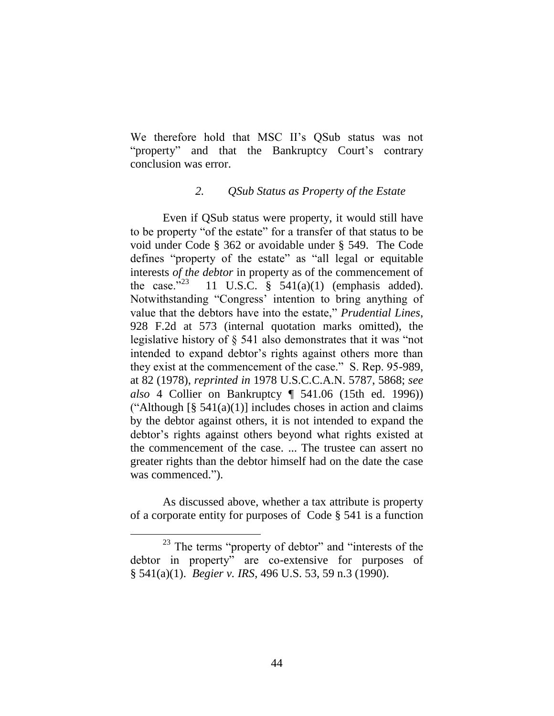We therefore hold that MSC II's QSub status was not "property" and that the Bankruptcy Court's contrary conclusion was error.

# *2. QSub Status as Property of the Estate*

Even if QSub status were property, it would still have to be property "of the estate" for a transfer of that status to be void under Code § 362 or avoidable under § 549. The Code defines "property of the estate" as "all legal or equitable interests *of the debtor* in property as of the commencement of the case." $^{23}$  11 U.S.C. § 541(a)(1) (emphasis added). Notwithstanding "Congress" intention to bring anything of value that the debtors have into the estate," *Prudential Lines*, 928 F.2d at 573 (internal quotation marks omitted), the legislative history of § 541 also demonstrates that it was "not intended to expand debtor's rights against others more than they exist at the commencement of the case." S. Rep. 95-989, at 82 (1978), *reprinted in* 1978 U.S.C.C.A.N. 5787, 5868; *see also* 4 Collier on Bankruptcy ¶ 541.06 (15th ed. 1996)) ("Although  $\lceil \S 541(a)(1) \rceil$  includes choses in action and claims by the debtor against others, it is not intended to expand the debtor's rights against others beyond what rights existed at the commencement of the case. ... The trustee can assert no greater rights than the debtor himself had on the date the case was commenced.").

As discussed above, whether a tax attribute is property of a corporate entity for purposes of Code § 541 is a function

<sup>&</sup>lt;sup>23</sup> The terms "property of debtor" and "interests of the debtor in property" are co-extensive for purposes of § 541(a)(1). *Begier v. IRS*, 496 U.S. 53, 59 n.3 (1990).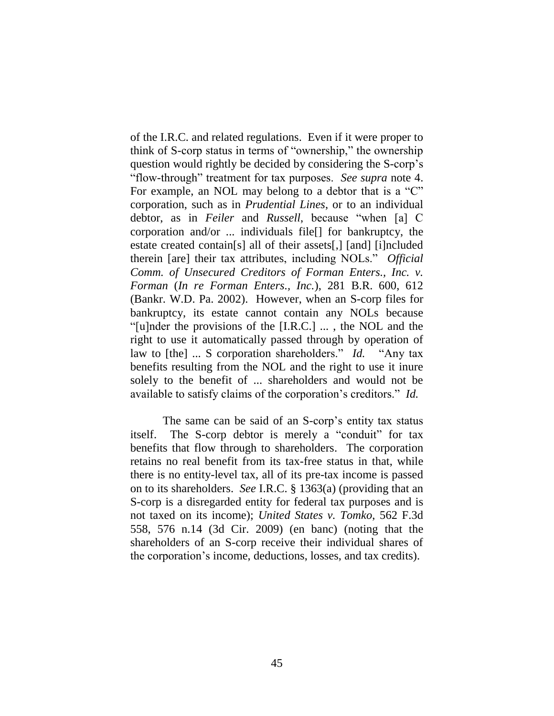of the I.R.C. and related regulations. Even if it were proper to think of S-corp status in terms of "ownership," the ownership question would rightly be decided by considering the S-corp"s "flow-through" treatment for tax purposes. *See supra* note 4. For example, an NOL may belong to a debtor that is a "C" corporation, such as in *Prudential Lines*, or to an individual debtor, as in *Feiler* and *Russell*, because "when [a] C corporation and/or ... individuals file[] for bankruptcy, the estate created contain[s] all of their assets[,] [and] [i]ncluded therein [are] their tax attributes, including NOLs." *Official Comm. of Unsecured Creditors of Forman Enters., Inc. v. Forman* (*In re Forman Enters., Inc.*), 281 B.R. 600, 612 (Bankr. W.D. Pa. 2002). However, when an S-corp files for bankruptcy, its estate cannot contain any NOLs because "[u]nder the provisions of the [I.R.C.] ... , the NOL and the right to use it automatically passed through by operation of law to [the] ... S corporation shareholders." *Id.* "Any tax benefits resulting from the NOL and the right to use it inure solely to the benefit of ... shareholders and would not be available to satisfy claims of the corporation"s creditors." *Id.*

The same can be said of an S-corp's entity tax status itself. The S-corp debtor is merely a "conduit" for tax benefits that flow through to shareholders. The corporation retains no real benefit from its tax-free status in that, while there is no entity-level tax, all of its pre-tax income is passed on to its shareholders. *See* I.R.C. § 1363(a) (providing that an S-corp is a disregarded entity for federal tax purposes and is not taxed on its income); *United States v. Tomko*, 562 F.3d 558, 576 n.14 (3d Cir. 2009) (en banc) (noting that the shareholders of an S-corp receive their individual shares of the corporation"s income, deductions, losses, and tax credits).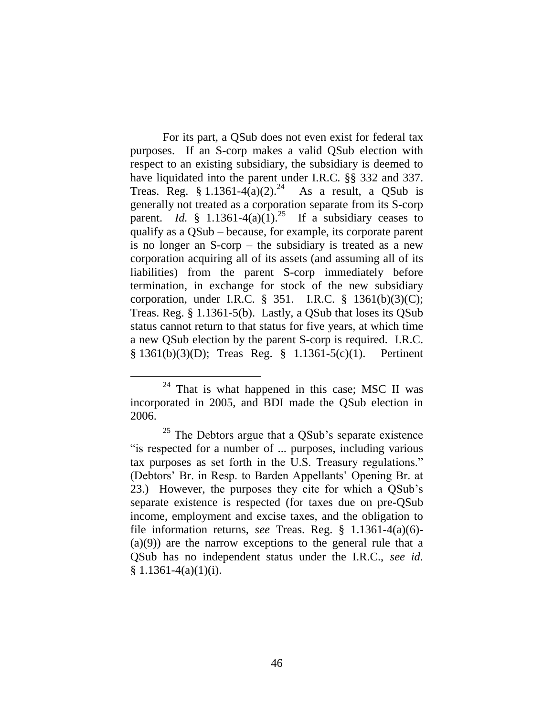For its part, a QSub does not even exist for federal tax purposes. If an S-corp makes a valid QSub election with respect to an existing subsidiary, the subsidiary is deemed to have liquidated into the parent under I.R.C. §§ 332 and 337. Treas. Reg. § 1.1361-4 $(a)(2)$ .<sup>24</sup> As a result, a QSub is generally not treated as a corporation separate from its S-corp parent. *Id.* § 1.1361-4(a)(1).<sup>25</sup> If a subsidiary ceases to qualify as a QSub – because, for example, its corporate parent is no longer an S-corp – the subsidiary is treated as a new corporation acquiring all of its assets (and assuming all of its liabilities) from the parent S-corp immediately before termination, in exchange for stock of the new subsidiary corporation, under I.R.C. § 351. I.R.C. § 1361(b)(3)(C); Treas. Reg. § 1.1361-5(b). Lastly, a QSub that loses its QSub status cannot return to that status for five years, at which time a new QSub election by the parent S-corp is required. I.R.C. § 1361(b)(3)(D); Treas Reg. § 1.1361-5(c)(1). Pertinent

 $24$  That is what happened in this case; MSC II was incorporated in 2005, and BDI made the QSub election in 2006.

 $25$  The Debtors argue that a QSub's separate existence "is respected for a number of ... purposes, including various tax purposes as set forth in the U.S. Treasury regulations." (Debtors" Br. in Resp. to Barden Appellants" Opening Br. at 23.) However, the purposes they cite for which a QSub"s separate existence is respected (for taxes due on pre-QSub income, employment and excise taxes, and the obligation to file information returns, *see* Treas. Reg. § 1.1361-4(a)(6)- (a)(9)) are the narrow exceptions to the general rule that a QSub has no independent status under the I.R.C., *see id.*  $§ 1.1361-4(a)(1)(i).$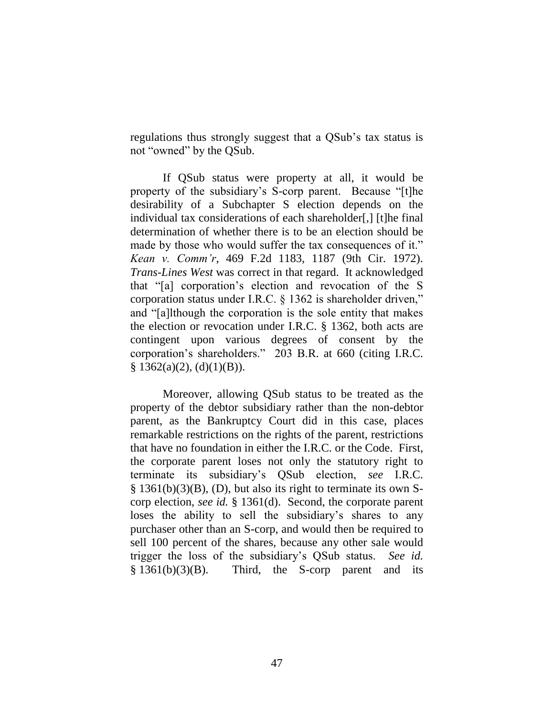regulations thus strongly suggest that a QSub"s tax status is not "owned" by the QSub.

If QSub status were property at all, it would be property of the subsidiary"s S-corp parent. Because "[t]he desirability of a Subchapter S election depends on the individual tax considerations of each shareholder[,] [t]he final determination of whether there is to be an election should be made by those who would suffer the tax consequences of it." *Kean v. Comm'r*, 469 F.2d 1183, 1187 (9th Cir. 1972). *Trans-Lines West* was correct in that regard. It acknowledged that "[a] corporation"s election and revocation of the S corporation status under I.R.C. § 1362 is shareholder driven," and "[a]lthough the corporation is the sole entity that makes the election or revocation under I.R.C. § 1362, both acts are contingent upon various degrees of consent by the corporation"s shareholders." 203 B.R. at 660 (citing I.R.C.  $§ 1362(a)(2), (d)(1)(B)).$ 

Moreover, allowing QSub status to be treated as the property of the debtor subsidiary rather than the non-debtor parent, as the Bankruptcy Court did in this case, places remarkable restrictions on the rights of the parent, restrictions that have no foundation in either the I.R.C. or the Code. First, the corporate parent loses not only the statutory right to terminate its subsidiary"s QSub election, *see* I.R.C. § 1361(b)(3)(B), (D), but also its right to terminate its own Scorp election, *see id.* § 1361(d). Second, the corporate parent loses the ability to sell the subsidiary's shares to any purchaser other than an S-corp, and would then be required to sell 100 percent of the shares, because any other sale would trigger the loss of the subsidiary"s QSub status. *See id.*  § 1361(b)(3)(B). Third, the S-corp parent and its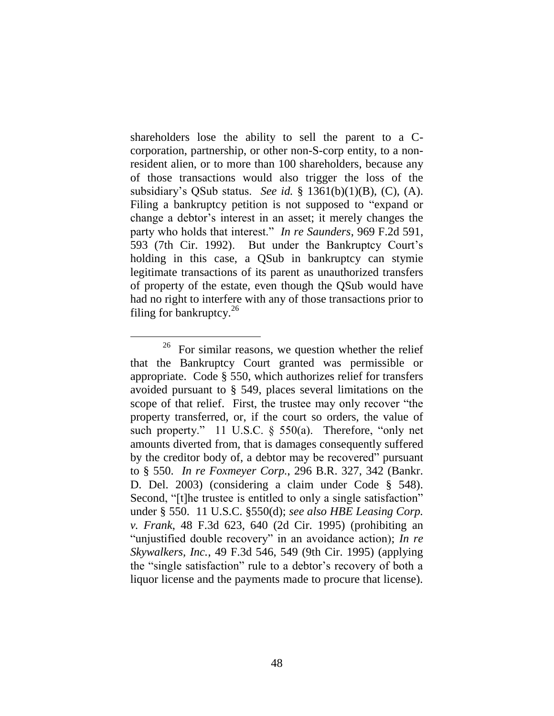shareholders lose the ability to sell the parent to a Ccorporation, partnership, or other non-S-corp entity, to a nonresident alien, or to more than 100 shareholders, because any of those transactions would also trigger the loss of the subsidiary"s QSub status. *See id.* § 1361(b)(1)(B), (C), (A). Filing a bankruptcy petition is not supposed to "expand or change a debtor"s interest in an asset; it merely changes the party who holds that interest." *In re Saunders*, 969 F.2d 591, 593 (7th Cir. 1992). But under the Bankruptcy Court"s holding in this case, a QSub in bankruptcy can stymie legitimate transactions of its parent as unauthorized transfers of property of the estate, even though the QSub would have had no right to interfere with any of those transactions prior to filing for bankruptcy. $^{26}$ 

 $26$  For similar reasons, we question whether the relief that the Bankruptcy Court granted was permissible or appropriate. Code § 550, which authorizes relief for transfers avoided pursuant to § 549, places several limitations on the scope of that relief. First, the trustee may only recover "the property transferred, or, if the court so orders, the value of such property." 11 U.S.C. § 550(a). Therefore, "only net amounts diverted from, that is damages consequently suffered by the creditor body of, a debtor may be recovered" pursuant to § 550. *In re Foxmeyer Corp.*, 296 B.R. 327, 342 (Bankr. D. Del. 2003) (considering a claim under Code § 548). Second, "[t]he trustee is entitled to only a single satisfaction" under § 550. 11 U.S.C. §550(d); *see also HBE Leasing Corp. v. Frank*, 48 F.3d 623, 640 (2d Cir. 1995) (prohibiting an "unjustified double recovery" in an avoidance action); *In re Skywalkers, Inc.*, 49 F.3d 546, 549 (9th Cir. 1995) (applying the "single satisfaction" rule to a debtor"s recovery of both a liquor license and the payments made to procure that license).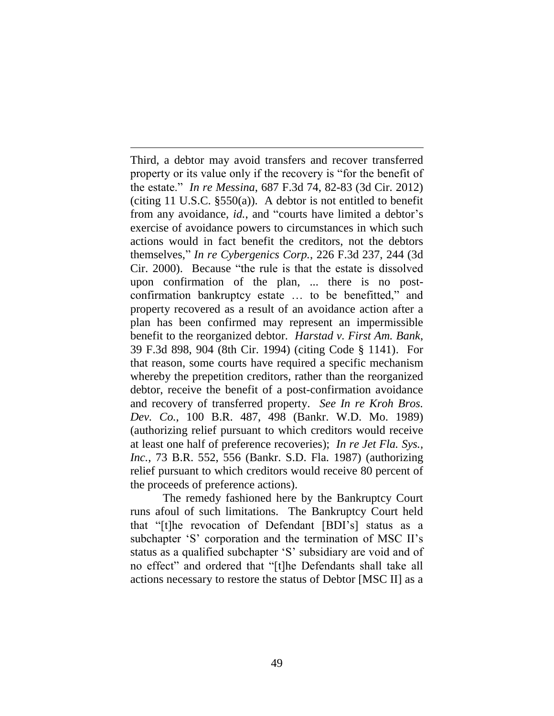Third, a debtor may avoid transfers and recover transferred property or its value only if the recovery is "for the benefit of the estate." *In re Messina*, 687 F.3d 74, 82-83 (3d Cir. 2012) (citing 11 U.S.C. §550(a)). A debtor is not entitled to benefit from any avoidance, *id.*, and "courts have limited a debtor's exercise of avoidance powers to circumstances in which such actions would in fact benefit the creditors, not the debtors themselves," *In re Cybergenics Corp.*, 226 F.3d 237, 244 (3d Cir. 2000). Because "the rule is that the estate is dissolved upon confirmation of the plan, ... there is no postconfirmation bankruptcy estate … to be benefitted," and property recovered as a result of an avoidance action after a plan has been confirmed may represent an impermissible benefit to the reorganized debtor. *Harstad v. First Am. Bank*, 39 F.3d 898, 904 (8th Cir. 1994) (citing Code § 1141). For that reason, some courts have required a specific mechanism whereby the prepetition creditors, rather than the reorganized debtor, receive the benefit of a post-confirmation avoidance and recovery of transferred property. *See In re Kroh Bros. Dev. Co.*, 100 B.R. 487, 498 (Bankr. W.D. Mo. 1989) (authorizing relief pursuant to which creditors would receive at least one half of preference recoveries); *In re Jet Fla. Sys., Inc.*, 73 B.R. 552, 556 (Bankr. S.D. Fla. 1987) (authorizing relief pursuant to which creditors would receive 80 percent of the proceeds of preference actions).

 $\overline{a}$ 

The remedy fashioned here by the Bankruptcy Court runs afoul of such limitations. The Bankruptcy Court held that "[t]he revocation of Defendant [BDI"s] status as a subchapter 'S' corporation and the termination of MSC II's status as a qualified subchapter "S" subsidiary are void and of no effect" and ordered that "[t]he Defendants shall take all actions necessary to restore the status of Debtor [MSC II] as a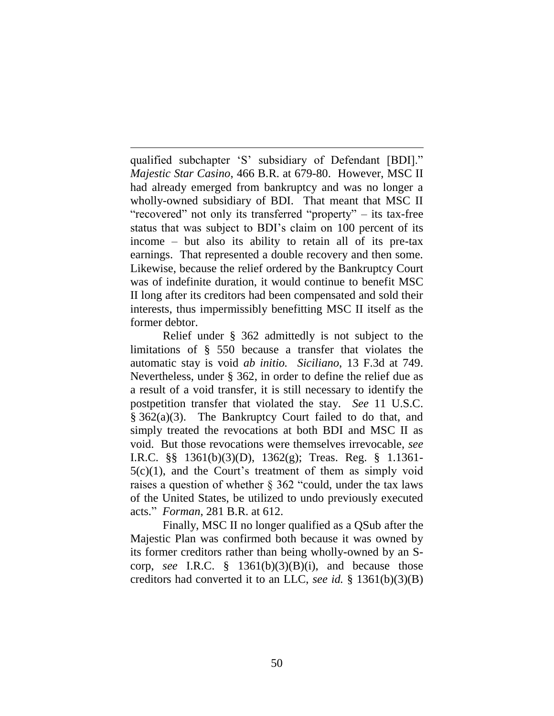qualified subchapter "S" subsidiary of Defendant [BDI]." *Majestic Star Casino*, 466 B.R. at 679-80. However, MSC II had already emerged from bankruptcy and was no longer a wholly-owned subsidiary of BDI. That meant that MSC II "recovered" not only its transferred "property" – its tax-free status that was subject to BDI"s claim on 100 percent of its income – but also its ability to retain all of its pre-tax earnings. That represented a double recovery and then some. Likewise, because the relief ordered by the Bankruptcy Court was of indefinite duration, it would continue to benefit MSC II long after its creditors had been compensated and sold their interests, thus impermissibly benefitting MSC II itself as the former debtor.

 $\overline{a}$ 

Relief under § 362 admittedly is not subject to the limitations of § 550 because a transfer that violates the automatic stay is void *ab initio. Siciliano*, 13 F.3d at 749. Nevertheless, under § 362, in order to define the relief due as a result of a void transfer, it is still necessary to identify the postpetition transfer that violated the stay. *See* 11 U.S.C. § 362(a)(3). The Bankruptcy Court failed to do that, and simply treated the revocations at both BDI and MSC II as void. But those revocations were themselves irrevocable, *see*  I.R.C. §§ 1361(b)(3)(D), 1362(g); Treas. Reg. § 1.1361-  $5(c)(1)$ , and the Court's treatment of them as simply void raises a question of whether § 362 "could, under the tax laws of the United States, be utilized to undo previously executed acts." *Forman*, 281 B.R. at 612.

Finally, MSC II no longer qualified as a QSub after the Majestic Plan was confirmed both because it was owned by its former creditors rather than being wholly-owned by an Scorp, *see* I.R.C. § 1361(b)(3)(B)(i), and because those creditors had converted it to an LLC, *see id.* § 1361(b)(3)(B)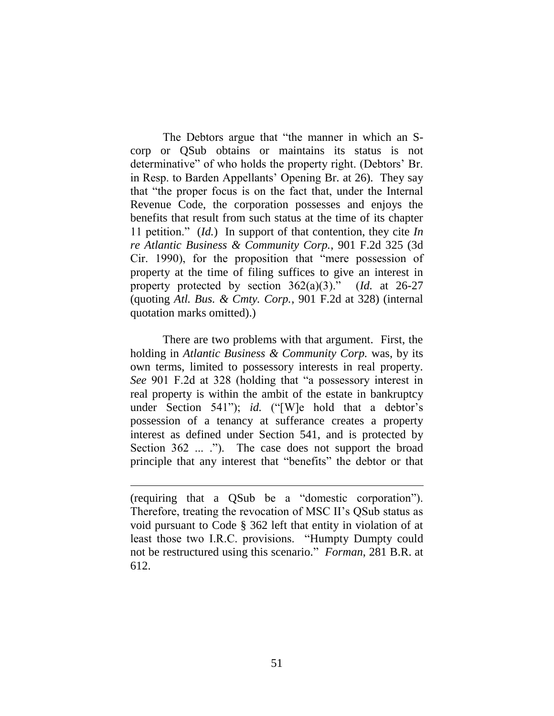The Debtors argue that "the manner in which an Scorp or QSub obtains or maintains its status is not determinative" of who holds the property right. (Debtors' Br. in Resp. to Barden Appellants' Opening Br. at 26). They say that "the proper focus is on the fact that, under the Internal Revenue Code, the corporation possesses and enjoys the benefits that result from such status at the time of its chapter 11 petition." (*Id.*) In support of that contention, they cite *In re Atlantic Business & Community Corp.*, 901 F.2d 325 (3d Cir. 1990), for the proposition that "mere possession of property at the time of filing suffices to give an interest in property protected by section 362(a)(3)." (*Id.* at 26-27 (quoting *Atl. Bus. & Cmty. Corp.*, 901 F.2d at 328) (internal quotation marks omitted).)

There are two problems with that argument. First, the holding in *Atlantic Business & Community Corp.* was, by its own terms, limited to possessory interests in real property. *See* 901 F.2d at 328 (holding that "a possessory interest in real property is within the ambit of the estate in bankruptcy under Section 541"); *id.* ("[W]e hold that a debtor's possession of a tenancy at sufferance creates a property interest as defined under Section 541, and is protected by Section 362 ... ."). The case does not support the broad principle that any interest that "benefits" the debtor or that

<sup>(</sup>requiring that a QSub be a "domestic corporation"). Therefore, treating the revocation of MSC II's QSub status as void pursuant to Code § 362 left that entity in violation of at least those two I.R.C. provisions. "Humpty Dumpty could not be restructured using this scenario." *Forman*, 281 B.R. at 612.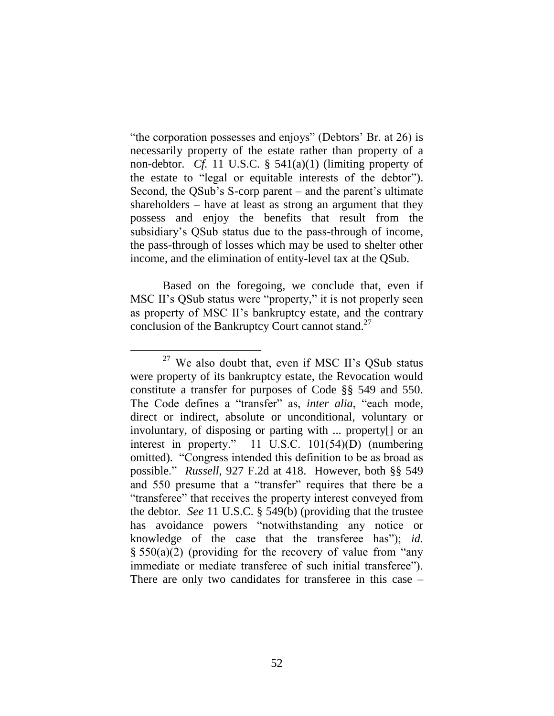"the corporation possesses and enjoys" (Debtors' Br. at 26) is necessarily property of the estate rather than property of a non-debtor. *Cf.* 11 U.S.C. § 541(a)(1) (limiting property of the estate to "legal or equitable interests of the debtor"). Second, the QSub's S-corp parent – and the parent's ultimate shareholders – have at least as strong an argument that they possess and enjoy the benefits that result from the subsidiary"s QSub status due to the pass-through of income, the pass-through of losses which may be used to shelter other income, and the elimination of entity-level tax at the QSub.

Based on the foregoing, we conclude that, even if MSC II"s QSub status were "property," it is not properly seen as property of MSC II"s bankruptcy estate, and the contrary conclusion of the Bankruptcy Court cannot stand. 27

 $27$  We also doubt that, even if MSC II's QSub status were property of its bankruptcy estate, the Revocation would constitute a transfer for purposes of Code §§ 549 and 550. The Code defines a "transfer" as, *inter alia*, "each mode, direct or indirect, absolute or unconditional, voluntary or involuntary, of disposing or parting with ... property[] or an interest in property." 11 U.S.C. 101(54)(D) (numbering omitted). "Congress intended this definition to be as broad as possible." *Russell*, 927 F.2d at 418. However, both §§ 549 and 550 presume that a "transfer" requires that there be a "transferee" that receives the property interest conveyed from the debtor. *See* 11 U.S.C. § 549(b) (providing that the trustee has avoidance powers "notwithstanding any notice or knowledge of the case that the transferee has"); *id.* § 550(a)(2) (providing for the recovery of value from "any immediate or mediate transferee of such initial transferee"). There are only two candidates for transferee in this case –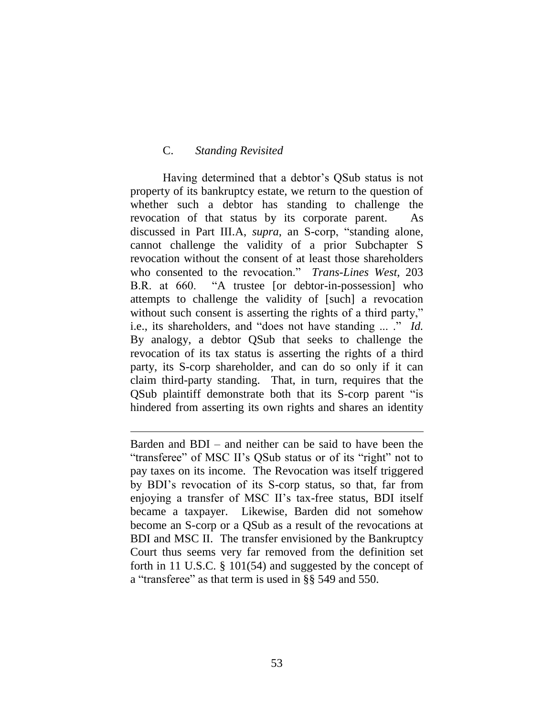### C. *Standing Revisited*

 $\overline{a}$ 

Having determined that a debtor's QSub status is not property of its bankruptcy estate, we return to the question of whether such a debtor has standing to challenge the revocation of that status by its corporate parent. As discussed in Part III.A, *supra*, an S-corp, "standing alone, cannot challenge the validity of a prior Subchapter S revocation without the consent of at least those shareholders who consented to the revocation." *Trans-Lines West*, 203 B.R. at 660. "A trustee [or debtor-in-possession] who attempts to challenge the validity of [such] a revocation without such consent is asserting the rights of a third party," i.e., its shareholders, and "does not have standing ... ." *Id.*  By analogy, a debtor QSub that seeks to challenge the revocation of its tax status is asserting the rights of a third party, its S-corp shareholder, and can do so only if it can claim third-party standing. That, in turn, requires that the QSub plaintiff demonstrate both that its S-corp parent "is hindered from asserting its own rights and shares an identity

Barden and BDI – and neither can be said to have been the "transferee" of MSC II"s QSub status or of its "right" not to pay taxes on its income. The Revocation was itself triggered by BDI"s revocation of its S-corp status, so that, far from enjoying a transfer of MSC II"s tax-free status, BDI itself became a taxpayer. Likewise, Barden did not somehow become an S-corp or a QSub as a result of the revocations at BDI and MSC II. The transfer envisioned by the Bankruptcy Court thus seems very far removed from the definition set forth in 11 U.S.C. § 101(54) and suggested by the concept of a "transferee" as that term is used in §§ 549 and 550.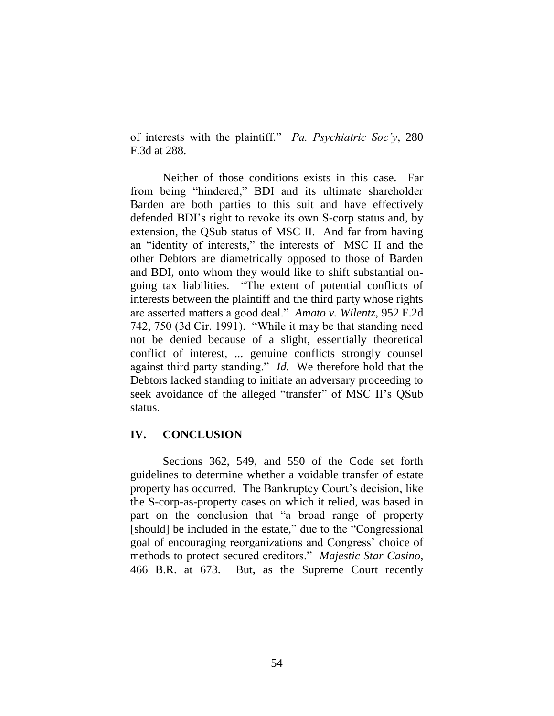of interests with the plaintiff." *Pa. Psychiatric Soc'y*, 280 F.3d at 288.

Neither of those conditions exists in this case. Far from being "hindered," BDI and its ultimate shareholder Barden are both parties to this suit and have effectively defended BDI"s right to revoke its own S-corp status and, by extension, the QSub status of MSC II. And far from having an "identity of interests," the interests of MSC II and the other Debtors are diametrically opposed to those of Barden and BDI, onto whom they would like to shift substantial ongoing tax liabilities. "The extent of potential conflicts of interests between the plaintiff and the third party whose rights are asserted matters a good deal." *Amato v. Wilentz*, 952 F.2d 742, 750 (3d Cir. 1991). "While it may be that standing need not be denied because of a slight, essentially theoretical conflict of interest, ... genuine conflicts strongly counsel against third party standing." *Id.* We therefore hold that the Debtors lacked standing to initiate an adversary proceeding to seek avoidance of the alleged "transfer" of MSC II"s QSub status.

### **IV. CONCLUSION**

Sections 362, 549, and 550 of the Code set forth guidelines to determine whether a voidable transfer of estate property has occurred. The Bankruptcy Court's decision, like the S-corp-as-property cases on which it relied, was based in part on the conclusion that "a broad range of property [should] be included in the estate," due to the "Congressional goal of encouraging reorganizations and Congress" choice of methods to protect secured creditors." *Majestic Star Casino*, 466 B.R. at 673. But, as the Supreme Court recently